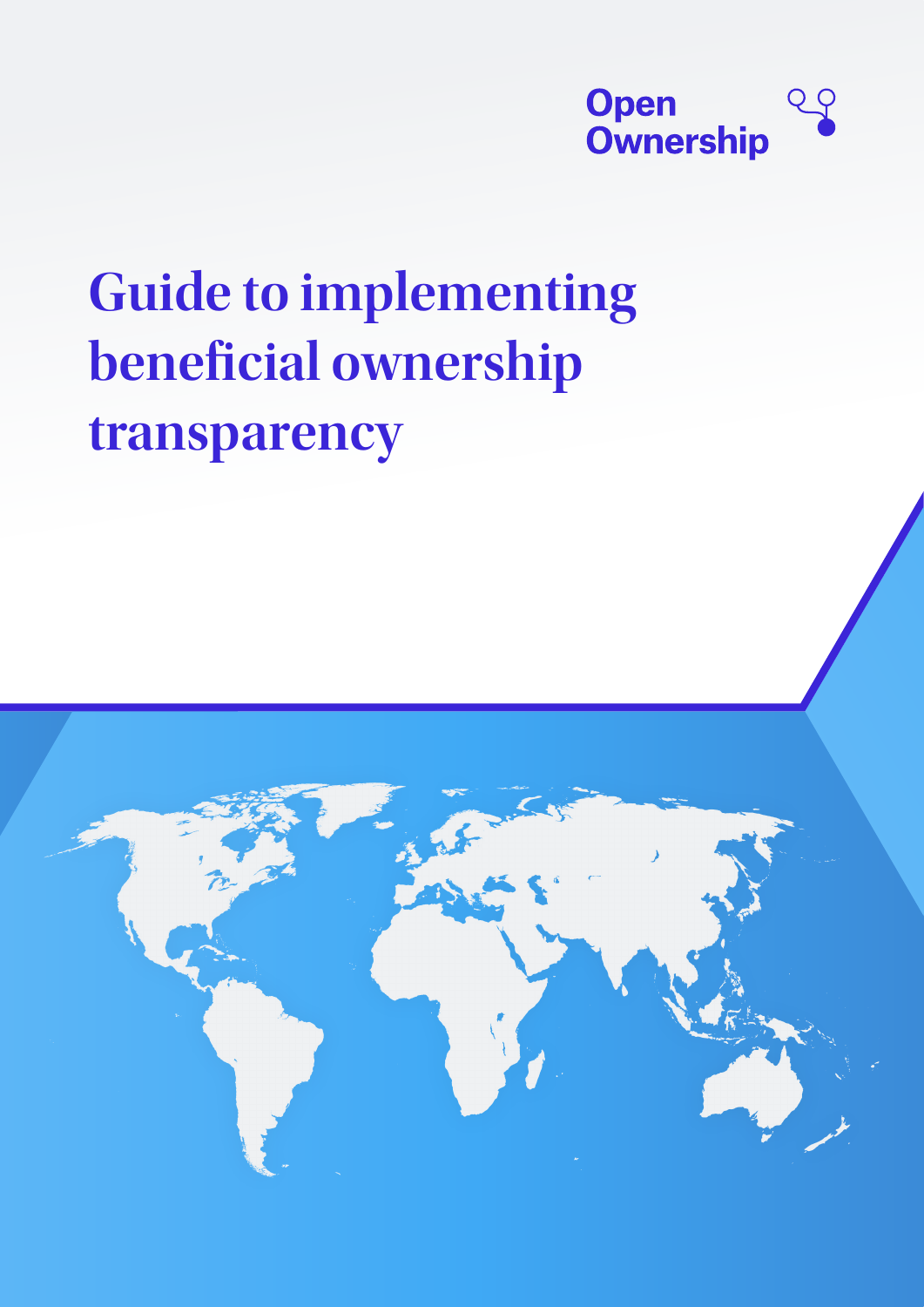

# **Guide to implementing beneficial ownership transparency**

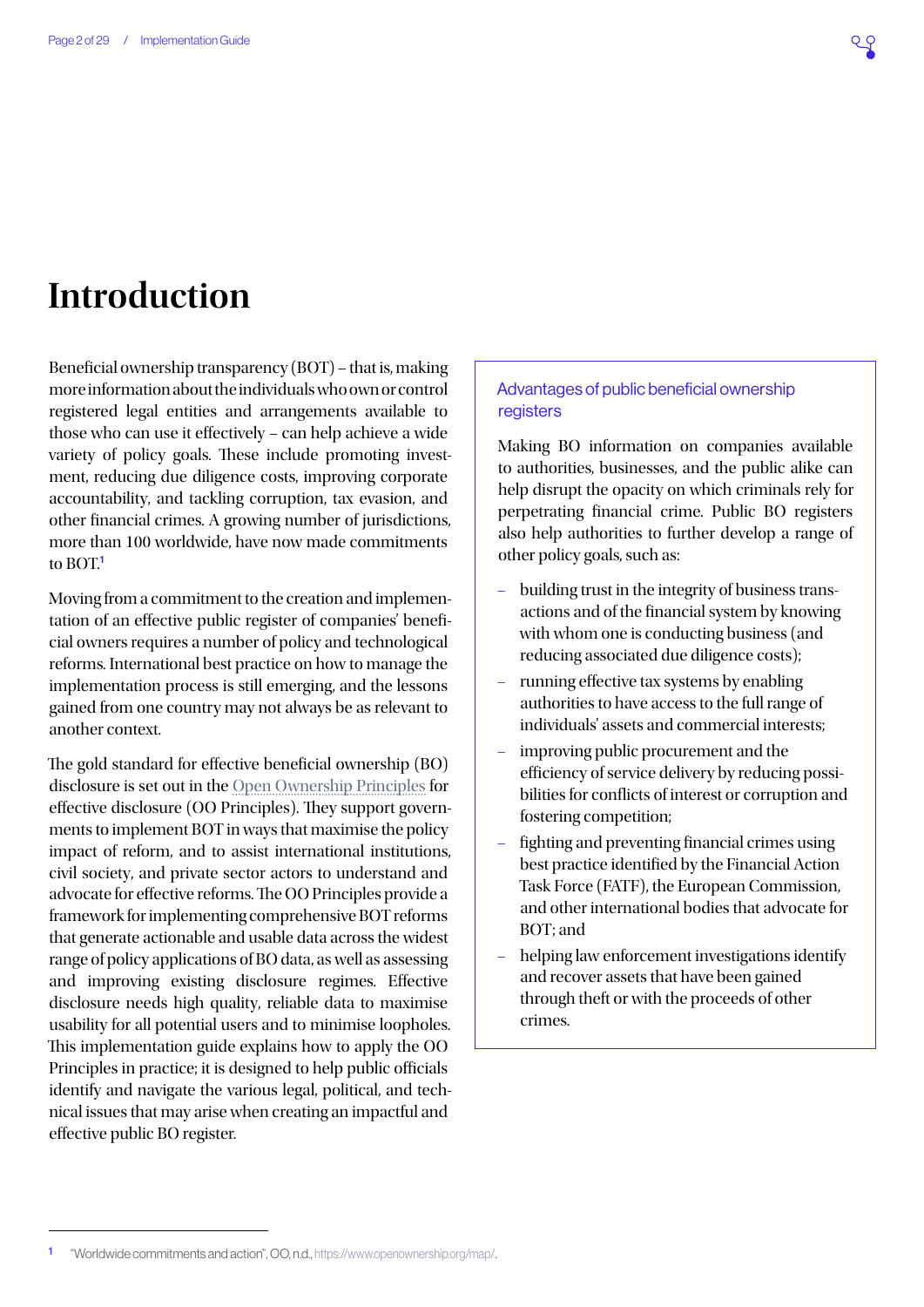## **Introduction**

Beneficial ownership transparency (BOT) – that is, making more information about the individuals who own or control registered legal entities and arrangements available to those who can use it effectively – can help achieve a wide variety of policy goals. These include promoting investment, reducing due diligence costs, improving corporate accountability, and tackling corruption, tax evasion, and other financial crimes. A growing number of jurisdictions, more than 100 worldwide, have now made commitments to BOT.<sup>1</sup>

Moving from a commitment to the creation and implementation of an effective public register of companies' beneficial owners requires a number of policy and technological reforms. International best practice on how to manage the implementation process is still emerging, and the lessons gained from one country may not always be as relevant to another context.

The gold standard for effective beneficial ownership (BO) disclosure is set out in the [Open Ownership Principles](https://www.openownership.org/principles/) for effective disclosure (OO Principles). They support governments to implement BOT in ways that maximise the policy impact of reform, and to assist international institutions, civil society, and private sector actors to understand and advocate for effective reforms. The OO Principles provide a framework for implementing comprehensive BOT reforms that generate actionable and usable data across the widest range of policy applications of BO data, as well as assessing and improving existing disclosure regimes. Effective disclosure needs high quality, reliable data to maximise usability for all potential users and to minimise loopholes. This implementation guide explains how to apply the OO Principles in practice; it is designed to help public officials identify and navigate the various legal, political, and technical issues that may arise when creating an impactful and effective public BO register.

#### Advantages of public beneficial ownership registers

Making BO information on companies available to authorities, businesses, and the public alike can help disrupt the opacity on which criminals rely for perpetrating financial crime. Public BO registers also help authorities to further develop a range of other policy goals, such as:

- building trust in the integrity of business transactions and of the financial system by knowing with whom one is conducting business (and reducing associated due diligence costs);
- running effective tax systems by enabling authorities to have access to the full range of individuals' assets and commercial interests;
- improving public procurement and the efficiency of service delivery by reducing possibilities for conflicts of interest or corruption and fostering competition;
- fighting and preventing financial crimes using best practice identified by the Financial Action Task Force (FATF), the European Commission, and other international bodies that advocate for BOT; and
- helping law enforcement investigations identify and recover assets that have been gained through theft or with the proceeds of other crimes.

<sup>1</sup> "Worldwide commitments and action", OO, n.d., <https://www.openownership.org/map/>.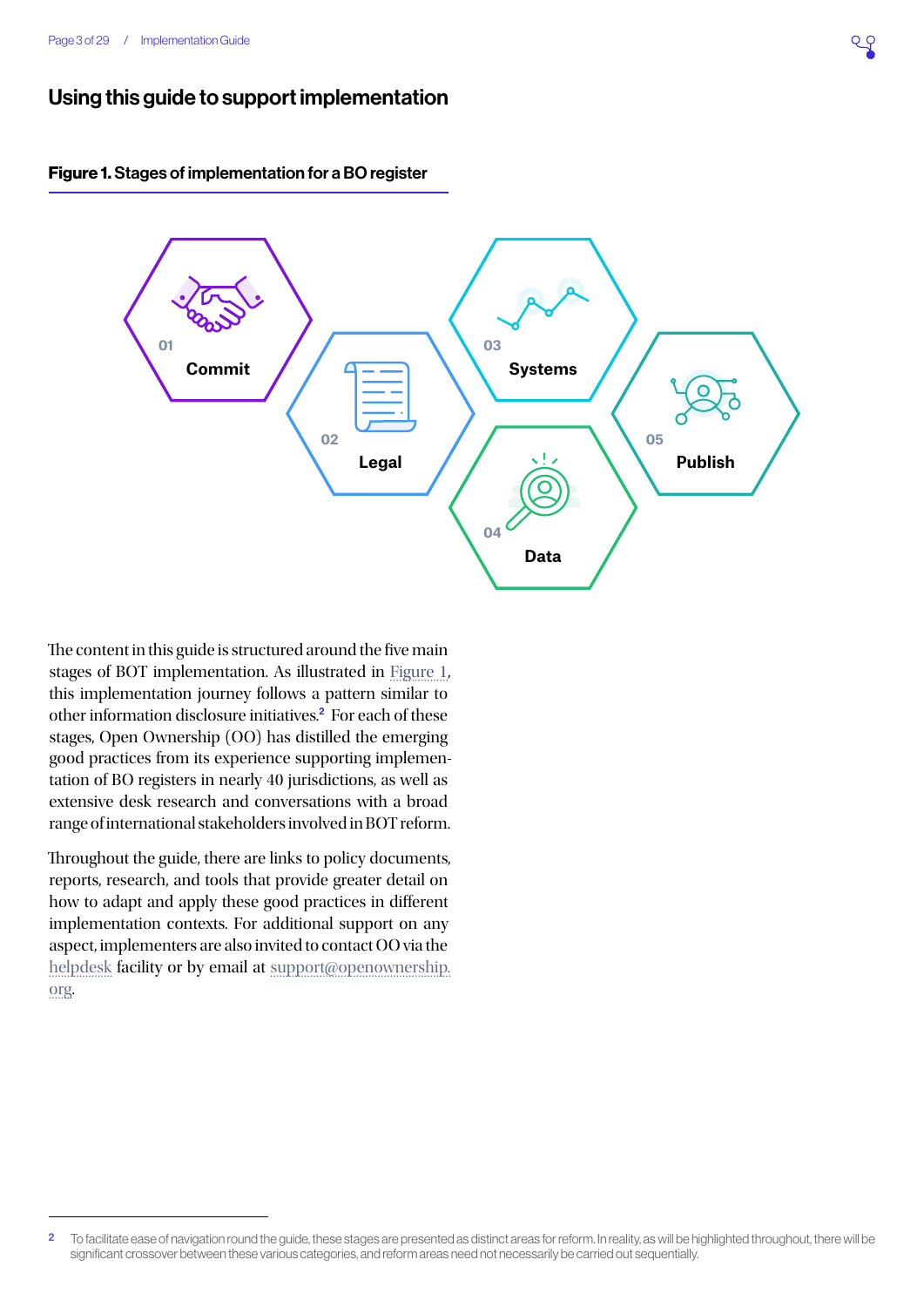## Using this guide to support implementation

<span id="page-2-0"></span>



The content in this guide is structured around the five main stages of BOT implementation. As illustrated in [Figure 1,](#page-2-0) this implementation journey follows a pattern similar to other information disclosure initiatives.<sup>2</sup> For each of these stages, Open Ownership (OO) has distilled the emerging good practices from its experience supporting implementation of BO registers in nearly 40 jurisdictions, as well as extensive desk research and conversations with a broad range of international stakeholders involved in BOT reform.

Throughout the guide, there are links to policy documents, reports, research, and tools that provide greater detail on how to adapt and apply these good practices in different implementation contexts. For additional support on any aspect, implementers are also invited to contact OO via the [helpdesk](https://share.hsforms.com/1hD_mecn0TwyW15zYkesF5g3upv4) facility or by email at [support@openownership.](mailto:support@openownership.org) [org](mailto:support@openownership.org).

<sup>&</sup>lt;sup>2</sup> To facilitate ease of navigation round the guide, these stages are presented as distinct areas for reform. In reality, as will be highlighted throughout, there will be significant crossover between these various categories, and reform areas need not necessarily be carried out sequentially.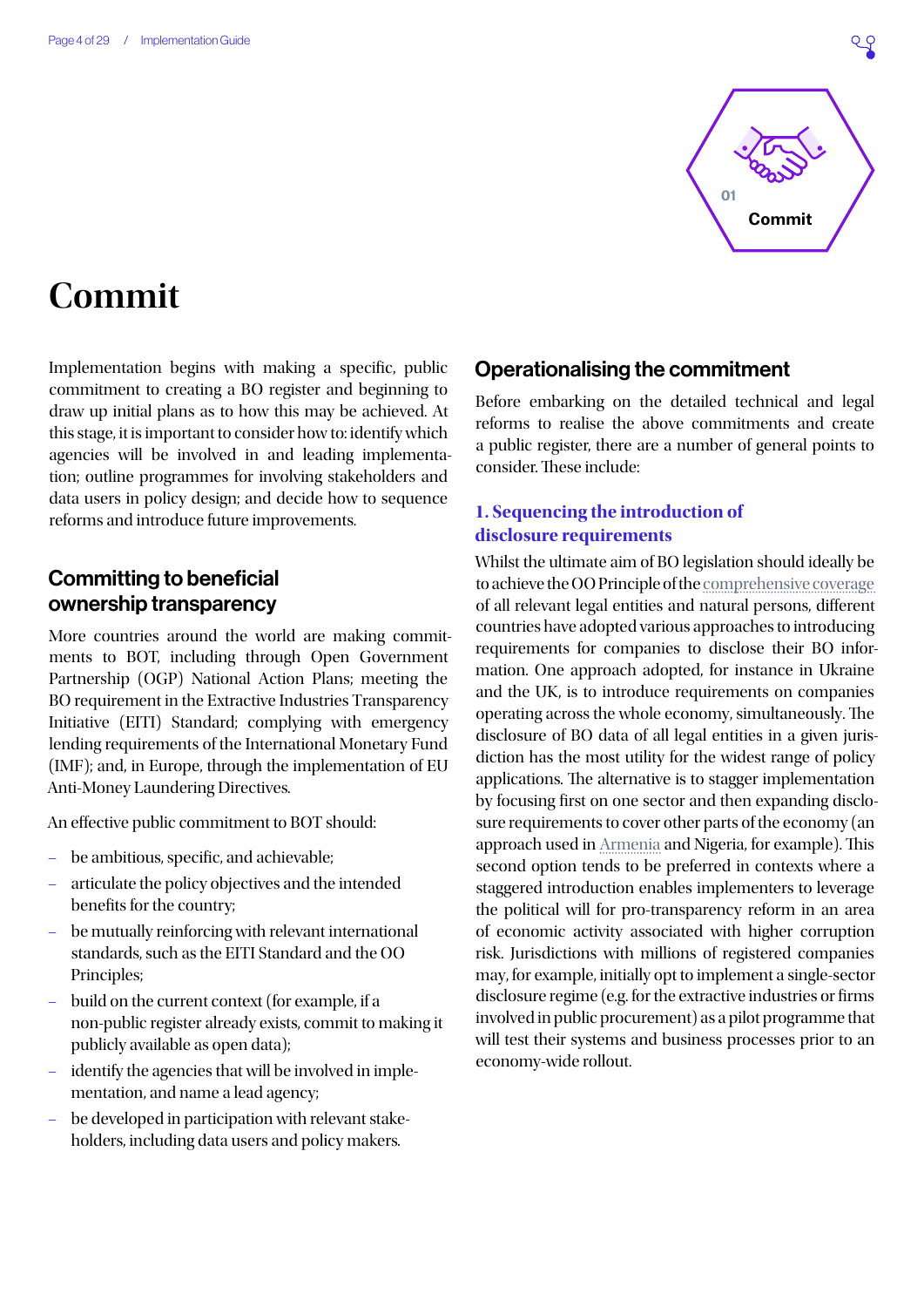

## <span id="page-3-0"></span>**Commit**

Implementation begins with making a specific, public commitment to creating a BO register and beginning to draw up initial plans as to how this may be achieved. At this stage, it is important to consider how to: identify which agencies will be involved in and leading implementation; outline programmes for involving stakeholders and data users in policy design; and decide how to sequence reforms and introduce future improvements.

## Committing to beneficial ownership transparency

More countries around the world are making commitments to BOT, including through Open Government Partnership (OGP) National Action Plans; meeting the BO requirement in the Extractive Industries Transparency Initiative (EITI) Standard; complying with emergency lending requirements of the International Monetary Fund (IMF); and, in Europe, through the implementation of EU Anti-Money Laundering Directives.

An effective public commitment to BOT should:

- be ambitious, specific, and achievable;
- articulate the policy objectives and the intended benefits for the country;
- be mutually reinforcing with relevant international standards, such as the EITI Standard and the OO Principles;
- build on the current context (for example, if a non-public register already exists, commit to making it publicly available as open data);
- identify the agencies that will be involved in implementation, and name a lead agency;
- be developed in participation with relevant stakeholders, including data users and policy makers.

## Operationalising the commitment

Before embarking on the detailed technical and legal reforms to realise the above commitments and create a public register, there are a number of general points to consider. These include:

### **1. Sequencing the introduction of disclosure requirements**

Whilst the ultimate aim of BO legislation should ideally be to achieve the OO Principle of the [comprehensive coverage](https://www.openownership.org/principles/comprehensive-coverage/)  of all relevant legal entities and natural persons, different countries have adopted various approaches to introducing requirements for companies to disclose their BO information. One approach adopted, for instance in Ukraine and the UK, is to introduce requirements on companies operating across the whole economy, simultaneously. The disclosure of BO data of all legal entities in a given jurisdiction has the most utility for the widest range of policy applications. The alternative is to stagger implementation by focusing first on one sector and then expanding disclosure requirements to cover other parts of the economy (an approach used in [Armenia](https://www.openownership.org/uploads/armenia-scoping-report.pdf) and Nigeria, for example). This second option tends to be preferred in contexts where a staggered introduction enables implementers to leverage the political will for pro-transparency reform in an area of economic activity associated with higher corruption risk. Jurisdictions with millions of registered companies may, for example, initially opt to implement a single-sector disclosure regime (e.g. for the extractive industries or firms involved in public procurement) as a pilot programme that will test their systems and business processes prior to an economy-wide rollout.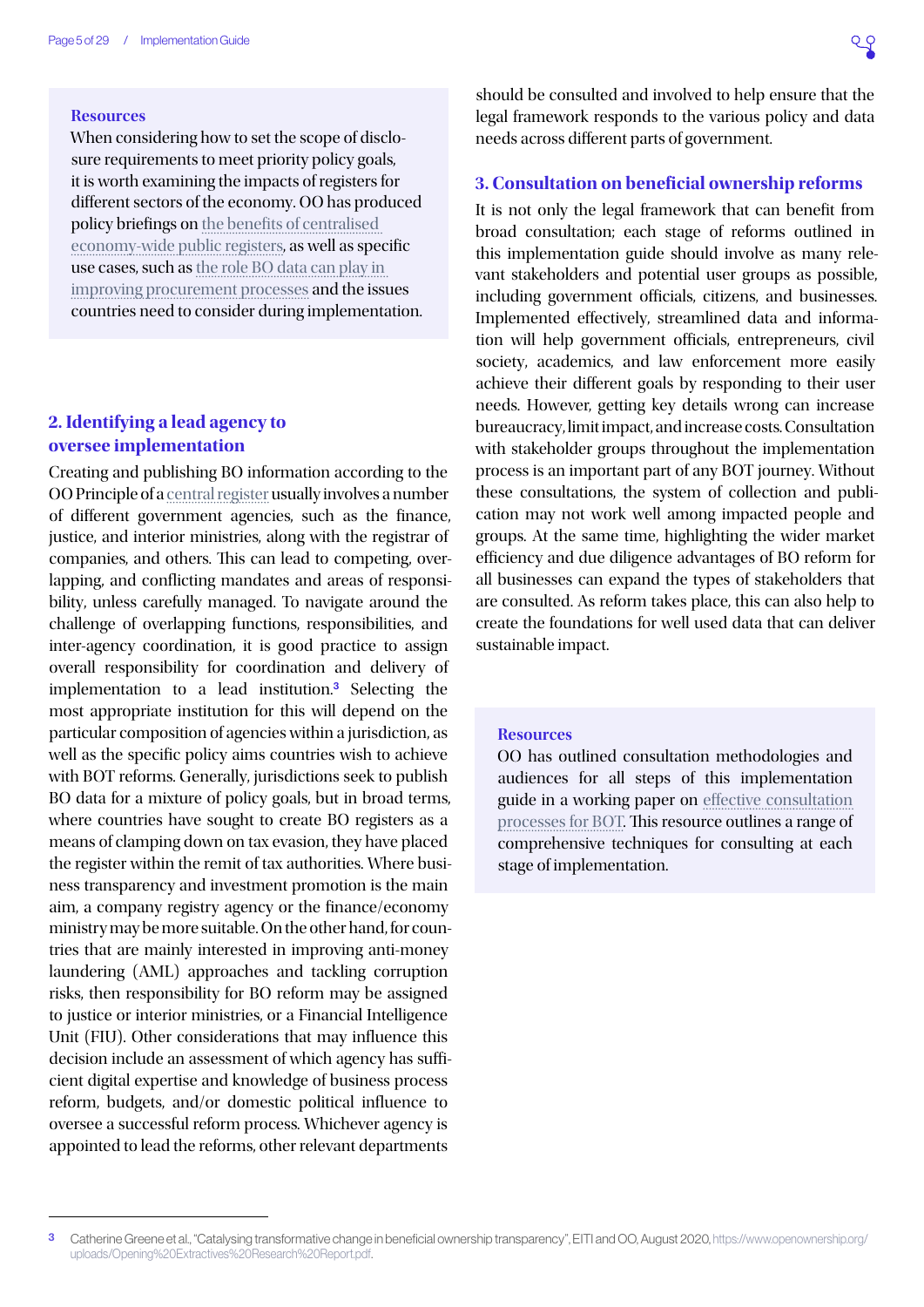#### **Resources**

When considering how to set the scope of disclosure requirements to meet priority policy goals, it is worth examining the impacts of registers for different sectors of the economy. OO has produced policy briefings on [the benefits of centralised](https://www.openownership.org/uploads/OO Public Access Briefing.pdf)  [economy-wide public registers](https://www.openownership.org/uploads/OO Public Access Briefing.pdf), as well as specific use cases, such as [the role BO data can play in](https://www.openownership.org/uploads/OO BO Data in Procurement.pdf)  [improving procurement processes](https://www.openownership.org/uploads/OO BO Data in Procurement.pdf) and the issues countries need to consider during implementation.

### **2. Identifying a lead agency to oversee implementation**

Creating and publishing BO information according to the OO Principle of a [central register](https://www.openownership.org/principles/central-register/) usually involves a number of different government agencies, such as the finance, justice, and interior ministries, along with the registrar of companies, and others. This can lead to competing, overlapping, and conflicting mandates and areas of responsibility, unless carefully managed. To navigate around the challenge of overlapping functions, responsibilities, and inter-agency coordination, it is good practice to assign overall responsibility for coordination and delivery of implementation to a lead institution.<sup>3</sup> Selecting the most appropriate institution for this will depend on the particular composition of agencies within a jurisdiction, as well as the specific policy aims countries wish to achieve with BOT reforms. Generally, jurisdictions seek to publish BO data for a mixture of policy goals, but in broad terms, where countries have sought to create BO registers as a means of clamping down on tax evasion, they have placed the register within the remit of tax authorities. Where business transparency and investment promotion is the main aim, a company registry agency or the finance/economy ministry may be more suitable. On the other hand, for countries that are mainly interested in improving anti-money laundering (AML) approaches and tackling corruption risks, then responsibility for BO reform may be assigned to justice or interior ministries, or a Financial Intelligence Unit (FIU). Other considerations that may influence this decision include an assessment of which agency has sufficient digital expertise and knowledge of business process reform, budgets, and/or domestic political influence to oversee a successful reform process. Whichever agency is appointed to lead the reforms, other relevant departments

should be consulted and involved to help ensure that the legal framework responds to the various policy and data needs across different parts of government.

#### **3. Consultation on beneficial ownership reforms**

It is not only the legal framework that can benefit from broad consultation; each stage of reforms outlined in this implementation guide should involve as many relevant stakeholders and potential user groups as possible, including government officials, citizens, and businesses. Implemented effectively, streamlined data and information will help government officials, entrepreneurs, civil society, academics, and law enforcement more easily achieve their different goals by responding to their user needs. However, getting key details wrong can increase bureaucracy, limit impact, and increase costs. Consultation with stakeholder groups throughout the implementation process is an important part of any BOT journey. Without these consultations, the system of collection and publication may not work well among impacted people and groups. At the same time, highlighting the wider market efficiency and due diligence advantages of BO reform for all businesses can expand the types of stakeholders that are consulted. As reform takes place, this can also help to create the foundations for well used data that can deliver sustainable impact.

#### **Resources**

OO has outlined consultation methodologies and audiences for all steps of this implementation guide in a working paper on [effective consultation](https://www.openownership.org/uploads/open-ownership-effective-consultation-processes-for-bot.pdf)  [processes for BOT.](https://www.openownership.org/uploads/open-ownership-effective-consultation-processes-for-bot.pdf) This resource outlines a range of comprehensive techniques for consulting at each stage of implementation.

<sup>3</sup> Catherine Greene et al., "Catalysing transformative change in beneficial ownership transparency", EITI and OO, August 2020, [https://www.openownership.org/](https://www.openownership.org/uploads/Opening%20Extractives%20Research%20Report.pdf) [uploads/Opening%20Extractives%20Research%20Report.pdf](https://www.openownership.org/uploads/Opening%20Extractives%20Research%20Report.pdf).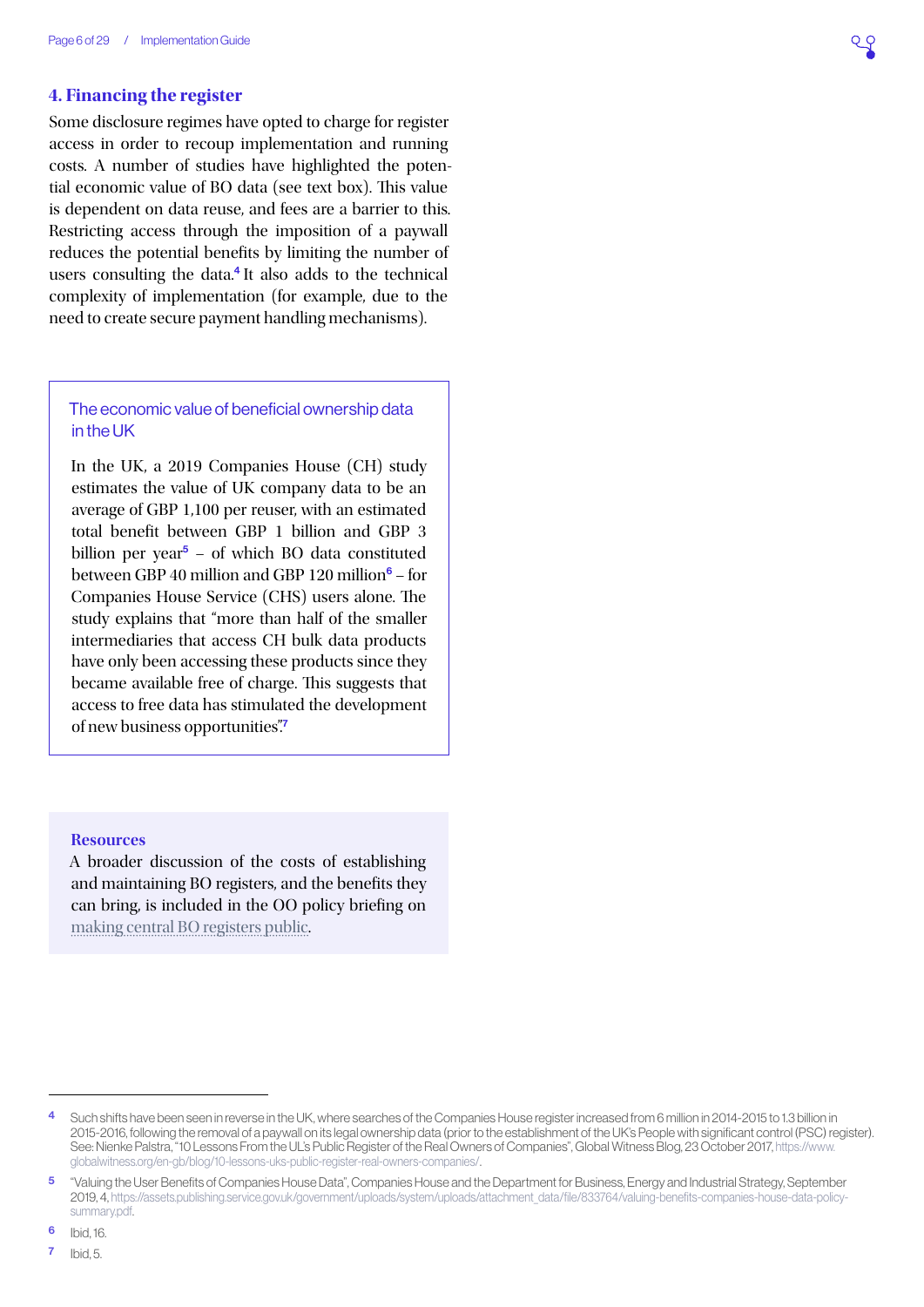#### **4. Financing the register**

Some disclosure regimes have opted to charge for register access in order to recoup implementation and running costs. A number of studies have highlighted the potential economic value of BO data (see text box). This value is dependent on data reuse, and fees are a barrier to this. Restricting access through the imposition of a paywall reduces the potential benefits by limiting the number of users consulting the data. $4$  It also adds to the technical complexity of implementation (for example, due to the need to create secure payment handling mechanisms).

#### The economic value of beneficial ownership data in the UK

In the UK, a 2019 Companies House (CH) study estimates the value of UK company data to be an average of GBP 1,100 per reuser, with an estimated total benefit between GBP 1 billion and GBP 3 billion per year $5 -$  of which BO data constituted between GBP 40 million and GBP 120 million $\delta$  – for Companies House Service (CHS) users alone. The study explains that "more than half of the smaller intermediaries that access CH bulk data products have only been accessing these products since they became available free of charge. This suggests that access to free data has stimulated the development of new business opportunities".<sup>7</sup>

#### **Resources**

A broader discussion of the costs of establishing and maintaining BO registers, and the benefits they can bring, is included in the OO policy briefing on [making central BO registers public.](https://www.openownership.org/uploads/OO Public Access Briefing.pdf)

6 Ibid, 16.

7 Ibid, 5.

Such shifts have been seen in reverse in the UK, where searches of the Companies House register increased from 6 million in 2014-2015 to 1.3 billion in 2015-2016, following the removal of a paywall on its legal ownership data (prior to the establishment of the UK's People with significant control (PSC) register). See: Nienke Palstra, "10 Lessons From the UL's Public Register of the Real Owners of Companies", Global Witness Blog, 23 October 2017, [https://www.](https://www.globalwitness.org/en-gb/blog/10-lessons-uks-public-register-real-owners-companies/) [globalwitness.org/en-gb/blog/10-lessons-uks-public-register-real-owners-companies/](https://www.globalwitness.org/en-gb/blog/10-lessons-uks-public-register-real-owners-companies/).

<sup>5</sup> "Valuing the User Benefits of Companies House Data", Companies House and the Department for Business, Energy and Industrial Strategy, September 2019, 4, [https://assets.publishing.service.gov.uk/government/uploads/system/uploads/attachment\\_data/file/833764/valuing-benefits-companies-house-data-policy](https://assets.publishing.service.gov.uk/government/uploads/system/uploads/attachment_data/file/8337)[summary.pdf](https://assets.publishing.service.gov.uk/government/uploads/system/uploads/attachment_data/file/8337).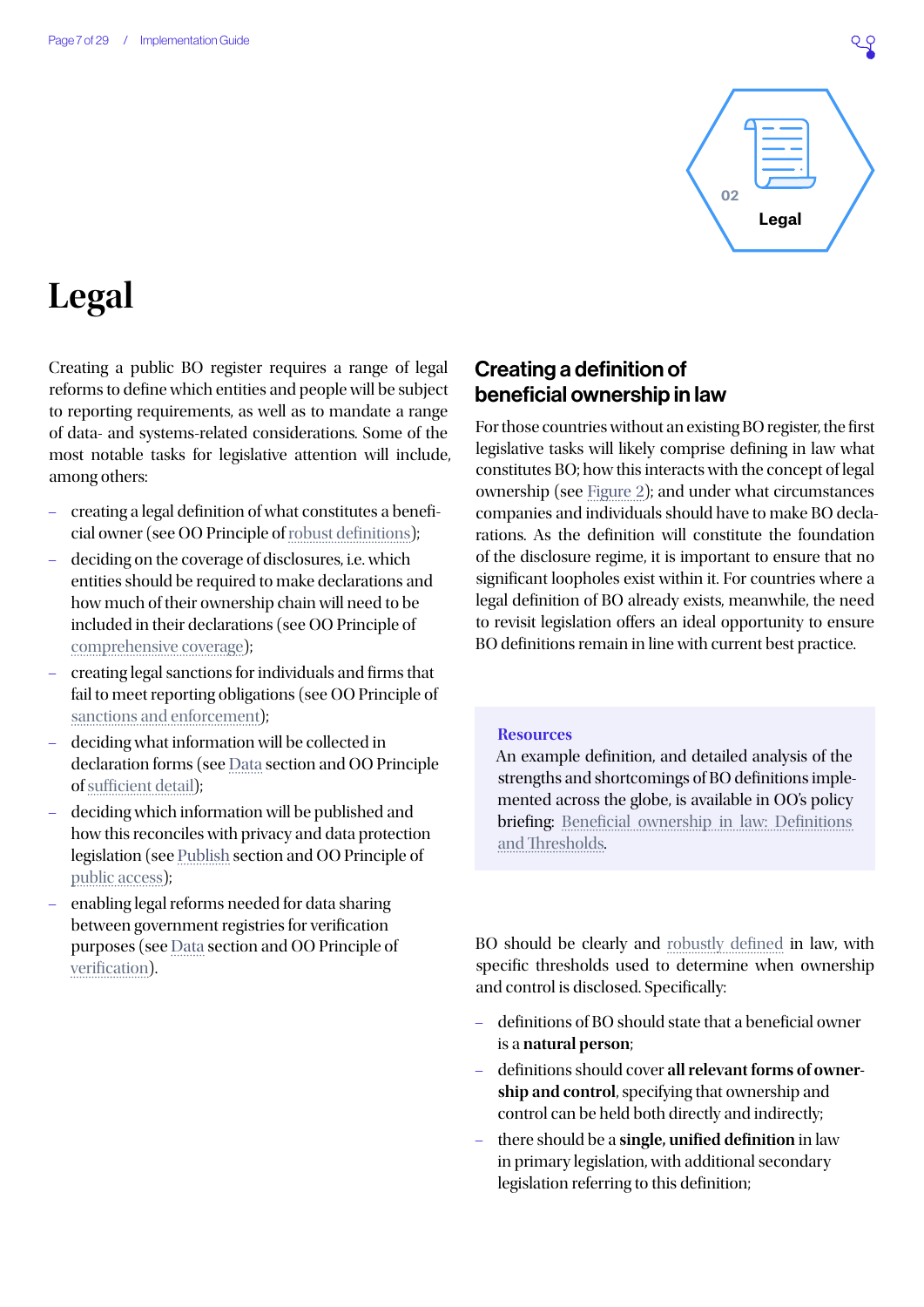

## <span id="page-6-0"></span>**Legal**

Creating a public BO register requires a range of legal reforms to define which entities and people will be subject to reporting requirements, as well as to mandate a range of data- and systems-related considerations. Some of the most notable tasks for legislative attention will include, among others:

- creating a legal definition of what constitutes a beneficial owner (see OO Principle of [robust definitions\)](https://www.openownership.org/principles/robust-definitions/);
- deciding on the coverage of disclosures, i.e. which entities should be required to make declarations and how much of their ownership chain will need to be included in their declarations (see OO Principle of [comprehensive coverage\)](https://www.openownership.org/principles/comprehensive-coverage/);
- creating legal sanctions for individuals and firms that fail to meet reporting obligations (see OO Principle of [sanctions and enforcement](https://www.openownership.org/principles/sanctions-and-enforcement/));
- deciding what information will be collected in declaration forms (see [Data](#page-18-0) section and OO Principle of [sufficient detail\)](https://www.openownership.org/principles/sufficient-detail/);
- deciding which information will be published and how this reconciles with privacy and data protection legislation (see [Publish](#page-24-0) section and OO Principle of [public access](https://www.openownership.org/principles/public-access/));
- enabling legal reforms needed for data sharing between government registries for verification purposes (see [Data](#page-18-0) section and OO Principle of [verification\)](https://www.openownership.org/principles/verified/).

## Creating a definition of beneficial ownership in law

For those countries without an existing BO register, the first legislative tasks will likely comprise defining in law what constitutes BO; how this interacts with the concept of legal ownership (see [Figure 2](#page-9-0)); and under what circumstances companies and individuals should have to make BO declarations. As the definition will constitute the foundation of the disclosure regime, it is important to ensure that no significant loopholes exist within it. For countries where a legal definition of BO already exists, meanwhile, the need to revisit legislation offers an ideal opportunity to ensure BO definitions remain in line with current best practice.

#### **Resources**

An example definition, and detailed analysis of the strengths and shortcomings of BO definitions implemented across the globe, is available in OO's policy briefing: [Beneficial ownership in law: Definitions](https://www.openownership.org/uploads/definitions-briefing.pdf)  [and Thresholds](https://www.openownership.org/uploads/definitions-briefing.pdf).

BO should be clearly and [robustly defined](https://www.openownership.org/principles/robust-definitions/) in law, with specific thresholds used to determine when ownership and control is disclosed. Specifically:

- definitions of BO should state that a beneficial owner is a **natural person**;
- definitions should cover **all relevant forms of ownership and control**, specifying that ownership and control can be held both directly and indirectly;
- there should be a **single, unified definition** in law in primary legislation, with additional secondary legislation referring to this definition;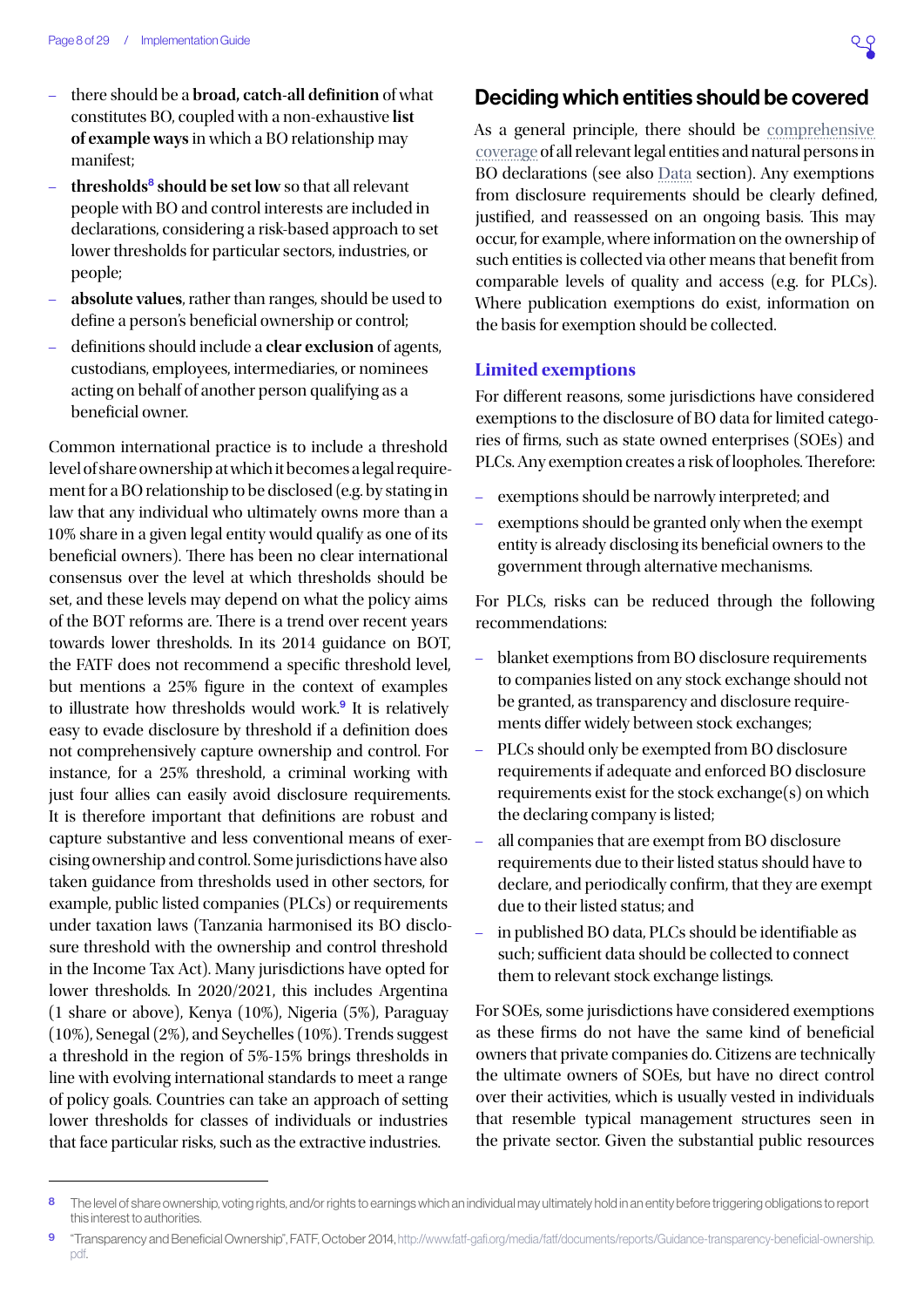- there should be a **broad, catch-all definition** of what constitutes BO, coupled with a non-exhaustive **list of example ways** in which a BO relationship may manifest;
- **thresholds**<sup>8</sup> **should be set low** so that all relevant people with BO and control interests are included in declarations, considering a risk-based approach to set lower thresholds for particular sectors, industries, or people;
- **absolute values**, rather than ranges, should be used to define a person's beneficial ownership or control;
- definitions should include a **clear exclusion** of agents, custodians, employees, intermediaries, or nominees acting on behalf of another person qualifying as a beneficial owner.

Common international practice is to include a threshold level of share ownership at which it becomes a legal requirement for a BO relationship to be disclosed (e.g. by stating in law that any individual who ultimately owns more than a 10% share in a given legal entity would qualify as one of its beneficial owners). There has been no clear international consensus over the level at which thresholds should be set, and these levels may depend on what the policy aims of the BOT reforms are. There is a trend over recent years towards lower thresholds. In its 2014 guidance on BOT, the FATF does not recommend a specific threshold level, but mentions a 25% figure in the context of examples to illustrate how thresholds would work.<sup>9</sup> It is relatively easy to evade disclosure by threshold if a definition does not comprehensively capture ownership and control. For instance, for a 25% threshold, a criminal working with just four allies can easily avoid disclosure requirements. It is therefore important that definitions are robust and capture substantive and less conventional means of exercising ownership and control. Some jurisdictions have also taken guidance from thresholds used in other sectors, for example, public listed companies (PLCs) or requirements under taxation laws (Tanzania harmonised its BO disclosure threshold with the ownership and control threshold in the Income Tax Act). Many jurisdictions have opted for lower thresholds. In 2020/2021, this includes Argentina (1 share or above), Kenya (10%), Nigeria (5%), Paraguay (10%), Senegal (2%), and Seychelles (10%). Trends suggest a threshold in the region of 5%-15% brings thresholds in line with evolving international standards to meet a range of policy goals. Countries can take an approach of setting lower thresholds for classes of individuals or industries that face particular risks, such as the extractive industries.

### Deciding which entities should be covered

As a general principle, there should be [comprehensive](https://www.openownership.org/principles/comprehensive-coverage/)  [coverage](https://www.openownership.org/principles/comprehensive-coverage/) of all relevant legal entities and natural persons in BO declarations (see also [Data](#page-18-0) section). Any exemptions from disclosure requirements should be clearly defined, justified, and reassessed on an ongoing basis. This may occur, for example, where information on the ownership of such entities is collected via other means that benefit from comparable levels of quality and access (e.g. for PLCs). Where publication exemptions do exist, information on the basis for exemption should be collected.

#### **Limited exemptions**

For different reasons, some jurisdictions have considered exemptions to the disclosure of BO data for limited categories of firms, such as state owned enterprises (SOEs) and PLCs. Any exemption creates a risk of loopholes. Therefore:

- exemptions should be narrowly interpreted; and
- exemptions should be granted only when the exempt entity is already disclosing its beneficial owners to the government through alternative mechanisms.

For PLCs, risks can be reduced through the following recommendations:

- blanket exemptions from BO disclosure requirements to companies listed on any stock exchange should not be granted, as transparency and disclosure requirements differ widely between stock exchanges;
- PLCs should only be exempted from BO disclosure requirements if adequate and enforced BO disclosure requirements exist for the stock exchange(s) on which the declaring company is listed;
- all companies that are exempt from BO disclosure requirements due to their listed status should have to declare, and periodically confirm, that they are exempt due to their listed status; and
- in published BO data, PLCs should be identifiable as such; sufficient data should be collected to connect them to relevant stock exchange listings.

For SOEs, some jurisdictions have considered exemptions as these firms do not have the same kind of beneficial owners that private companies do. Citizens are technically the ultimate owners of SOEs, but have no direct control over their activities, which is usually vested in individuals that resemble typical management structures seen in the private sector. Given the substantial public resources

<sup>8</sup> The level of share ownership, voting rights, and/or rights to earnings which an individual may ultimately hold in an entity before triggering obligations to report this interest to authorities.

<sup>9</sup> "Transparency and Beneficial Ownership", FATF, October 2014, [http://www.fatf-gafi.org/media/fatf/documents/reports/Guidance-transparency-beneficial-ownership.](http://www.fatf-gafi.org/media/fatf/documents/reports/Guidance-transparency-beneficial-ownership.pdf) [pdf.](http://www.fatf-gafi.org/media/fatf/documents/reports/Guidance-transparency-beneficial-ownership.pdf)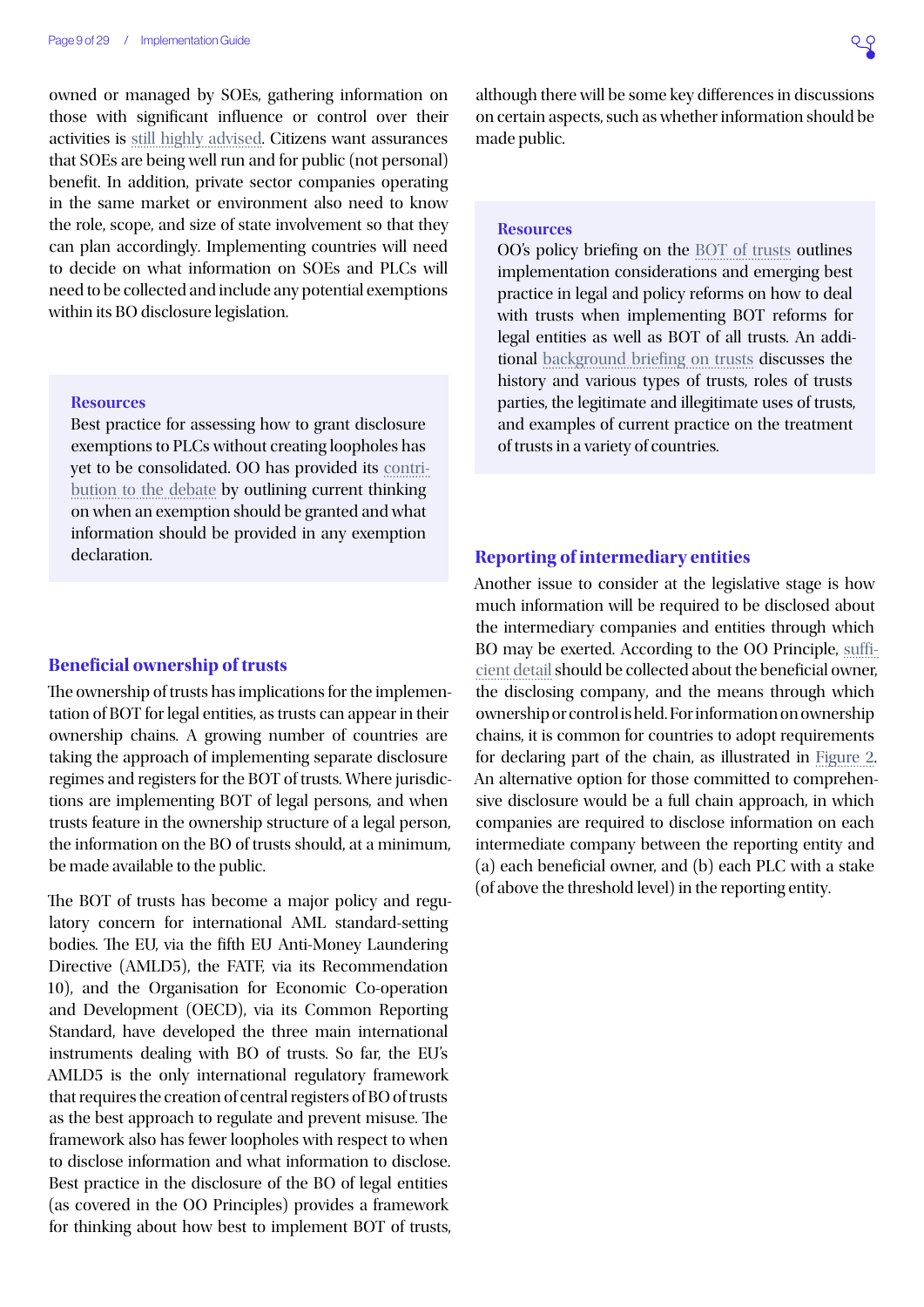owned or managed by SOEs, gathering information on those with significant influence or control over their activities is [still highly advised.](https://www.openownership.org/blogs/state-owned-enterprises-a-new-frontier/) Citizens want assurances that SOEs are being well run and for public (not personal) benefit. In addition, private sector companies operating in the same market or environment also need to know the role, scope, and size of state involvement so that they can plan accordingly. Implementing countries will need to decide on what information on SOEs and PLCs will need to be collected and include any potential exemptions within its BO disclosure legislation.

#### **Resources**

Best practice for assessing how to grant disclosure exemptions to PLCs without creating loopholes has yet to be consolidated. OO has provided its [contri](https://www.openownership.org/uploads/technical-note-beneficial-ownership-and-listed-companies.pdf)[bution to the debate](https://www.openownership.org/uploads/technical-note-beneficial-ownership-and-listed-companies.pdf) by outlining current thinking on when an exemption should be granted and what information should be provided in any exemption declaration.

#### **Beneficial ownership of trusts**

The ownership of trusts has implications for the implementation of BOT for legal entities, as trusts can appear in their ownership chains. A growing number of countries are taking the approach of implementing separate disclosure regimes and registers for the BOT of trusts. Where jurisdictions are implementing BOT of legal persons, and when trusts feature in the ownership structure of a legal person, the information on the BO of trusts should, at a minimum, be made available to the public.

The BOT of trusts has become a major policy and regulatory concern for international AML standard-setting bodies. The EU, via the fifth EU Anti-Money Laundering Directive (AMLD5), the FATF, via its Recommendation 10), and the Organisation for Economic Co-operation and Development (OECD), via its Common Reporting Standard, have developed the three main international instruments dealing with BO of trusts. So far, the EU's AMLD5 is the only international regulatory framework that requires the creation of central registers of BO of trusts as the best approach to regulate and prevent misuse. The framework also has fewer loopholes with respect to when to disclose information and what information to disclose. Best practice in the disclosure of the BO of legal entities (as covered in the OO Principles) provides a framework for thinking about how best to implement BOT of trusts,

although there will be some key differences in discussions on certain aspects, such as whether information should be made public.

#### **Resources**

OO's policy briefing on the [BOT of trusts](https://www.openownership.org/resources/beneficial-ownership-transparency-of-trusts/) outlines implementation considerations and emerging best practice in legal and policy reforms on how to deal with trusts when implementing BOT reforms for legal entities as well as BOT of all trusts. An additional [background briefing on trusts](https://www.openownership.org/resources/an-introduction-to-trusts/) discusses the history and various types of trusts, roles of trusts parties, the legitimate and illegitimate uses of trusts, and examples of current practice on the treatment of trusts in a variety of countries.

#### **Reporting of intermediary entities**

Another issue to consider at the legislative stage is how much information will be required to be disclosed about the intermediary companies and entities through which BO may be exerted. According to the OO Principle, [suffi](https://www.openownership.org/principles/sufficient-detail/)[cient detail](https://www.openownership.org/principles/sufficient-detail/) should be collected about the beneficial owner, the disclosing company, and the means through which ownership or control is held. For information on ownership chains, it is common for countries to adopt requirements for declaring part of the chain, as illustrated in [Figure 2](#page-9-0). An alternative option for those committed to comprehensive disclosure would be a full chain approach, in which companies are required to disclose information on each intermediate company between the reporting entity and (a) each beneficial owner, and (b) each PLC with a stake (of above the threshold level) in the reporting entity.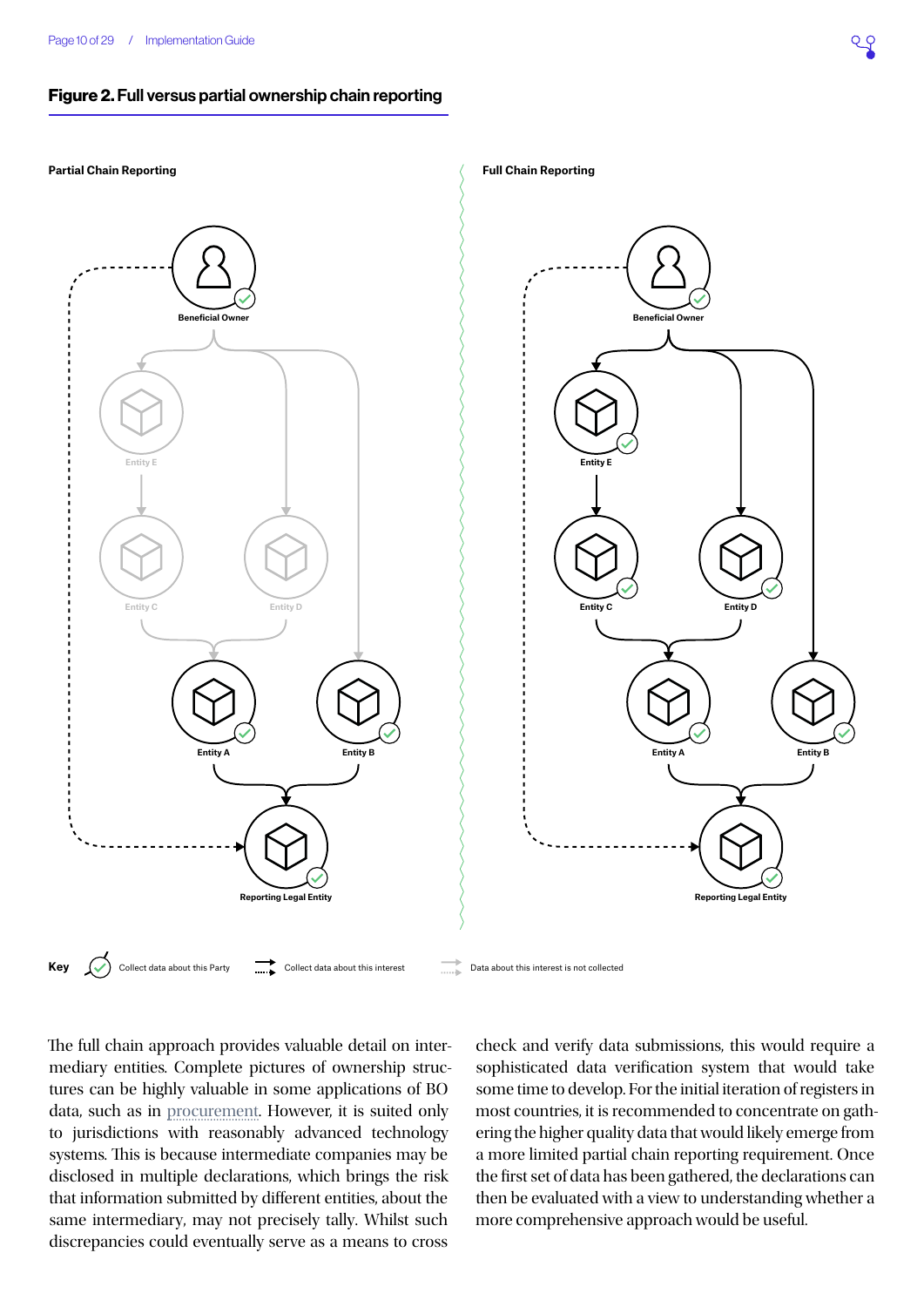#### <span id="page-9-0"></span>Figure 2. Full versus partial ownership chain reporting



The full chain approach provides valuable detail on intermediary entities. Complete pictures of ownership structures can be highly valuable in some applications of BO data, such as in [procurement.](https://www.openownership.org/uploads/OO BO Data in Procurement.pdf) However, it is suited only to jurisdictions with reasonably advanced technology systems. This is because intermediate companies may be disclosed in multiple declarations, which brings the risk that information submitted by different entities, about the same intermediary, may not precisely tally. Whilst such discrepancies could eventually serve as a means to cross

check and verify data submissions, this would require a sophisticated data verification system that would take some time to develop. For the initial iteration of registers in most countries, it is recommended to concentrate on gathering the higher quality data that would likely emerge from a more limited partial chain reporting requirement. Once the first set of data has been gathered, the declarations can then be evaluated with a view to understanding whether a more comprehensive approach would be useful.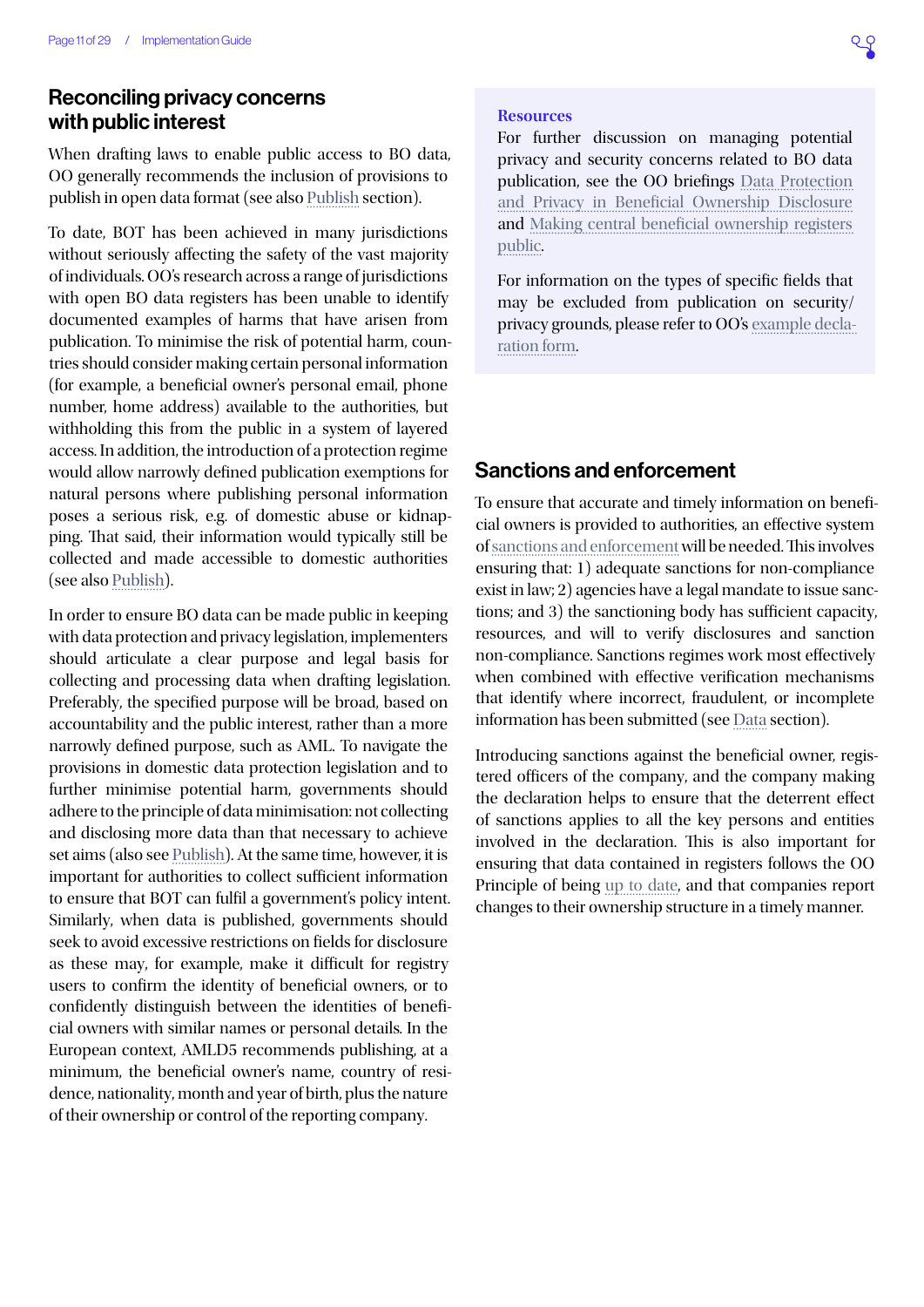## Reconciling privacy concerns with public interest

When drafting laws to enable public access to BO data, OO generally recommends the inclusion of provisions to publish in open data format (see also [Publish](#page-24-0) section).

To date, BOT has been achieved in many jurisdictions without seriously affecting the safety of the vast majority of individuals. OO's research across a range of jurisdictions with open BO data registers has been unable to identify documented examples of harms that have arisen from publication. To minimise the risk of potential harm, countries should consider making certain personal information (for example, a beneficial owner's personal email, phone number, home address) available to the authorities, but withholding this from the public in a system of layered access. In addition, the introduction of a protection regime would allow narrowly defined publication exemptions for natural persons where publishing personal information poses a serious risk, e.g. of domestic abuse or kidnapping. That said, their information would typically still be collected and made accessible to domestic authorities (see also [Publish\)](#page-24-0).

In order to ensure BO data can be made public in keeping with data protection and privacy legislation, implementers should articulate a clear purpose and legal basis for collecting and processing data when drafting legislation. Preferably, the specified purpose will be broad, based on accountability and the public interest, rather than a more narrowly defined purpose, such as AML. To navigate the provisions in domestic data protection legislation and to further minimise potential harm, governments should adhere to the principle of data minimisation: not collecting and disclosing more data than that necessary to achieve set aims (also see [Publish\)](#page-24-0). At the same time, however, it is important for authorities to collect sufficient information to ensure that BOT can fulfil a government's policy intent. Similarly, when data is published, governments should seek to avoid excessive restrictions on fields for disclosure as these may, for example, make it difficult for registry users to confirm the identity of beneficial owners, or to confidently distinguish between the identities of beneficial owners with similar names or personal details. In the European context, AMLD5 recommends publishing, at a minimum, the beneficial owner's name, country of residence, nationality, month and year of birth, plus the nature of their ownership or control of the reporting company.

#### **Resources**

For further discussion on managing potential privacy and security concerns related to BO data publication, see the OO briefings [Data Protection](https://www.openownership.org/uploads/oo-data-protection-and-privacy-188205.pdf)  [and Privacy in Beneficial Ownership Disclosure](https://www.openownership.org/uploads/oo-data-protection-and-privacy-188205.pdf) and [Making central beneficial ownership registers](https://www.openownership.org/uploads/OO Public Access Briefing.pdf)  [public.](https://www.openownership.org/uploads/OO Public Access Briefing.pdf)

For information on the types of specific fields that may be excluded from publication on security/ privacy grounds, please refer to OO's [example decla](https://docs.google.com/spreadsheets/d/1H6nRsKLxqiIQrT9HhckZefaWCUm2otVEHljVjx-vsTU/edit#gid=1810219496)[ration form](https://docs.google.com/spreadsheets/d/1H6nRsKLxqiIQrT9HhckZefaWCUm2otVEHljVjx-vsTU/edit#gid=1810219496).

## Sanctions and enforcement

To ensure that accurate and timely information on beneficial owners is provided to authorities, an effective system of [sanctions and enforcement](https://www.openownership.org/principles/sanctions-and-enforcement/) will be needed. This involves ensuring that: 1) adequate sanctions for non-compliance exist in law; 2) agencies have a legal mandate to issue sanctions; and 3) the sanctioning body has sufficient capacity, resources, and will to verify disclosures and sanction non-compliance. Sanctions regimes work most effectively when combined with effective verification mechanisms that identify where incorrect, fraudulent, or incomplete information has been submitted (see [Data](#page-18-0) section).

Introducing sanctions against the beneficial owner, registered officers of the company, and the company making the declaration helps to ensure that the deterrent effect of sanctions applies to all the key persons and entities involved in the declaration. This is also important for ensuring that data contained in registers follows the OO Principle of being [up to date,](https://www.openownership.org/principles/up-to-date-auditable/) and that companies report changes to their ownership structure in a timely manner.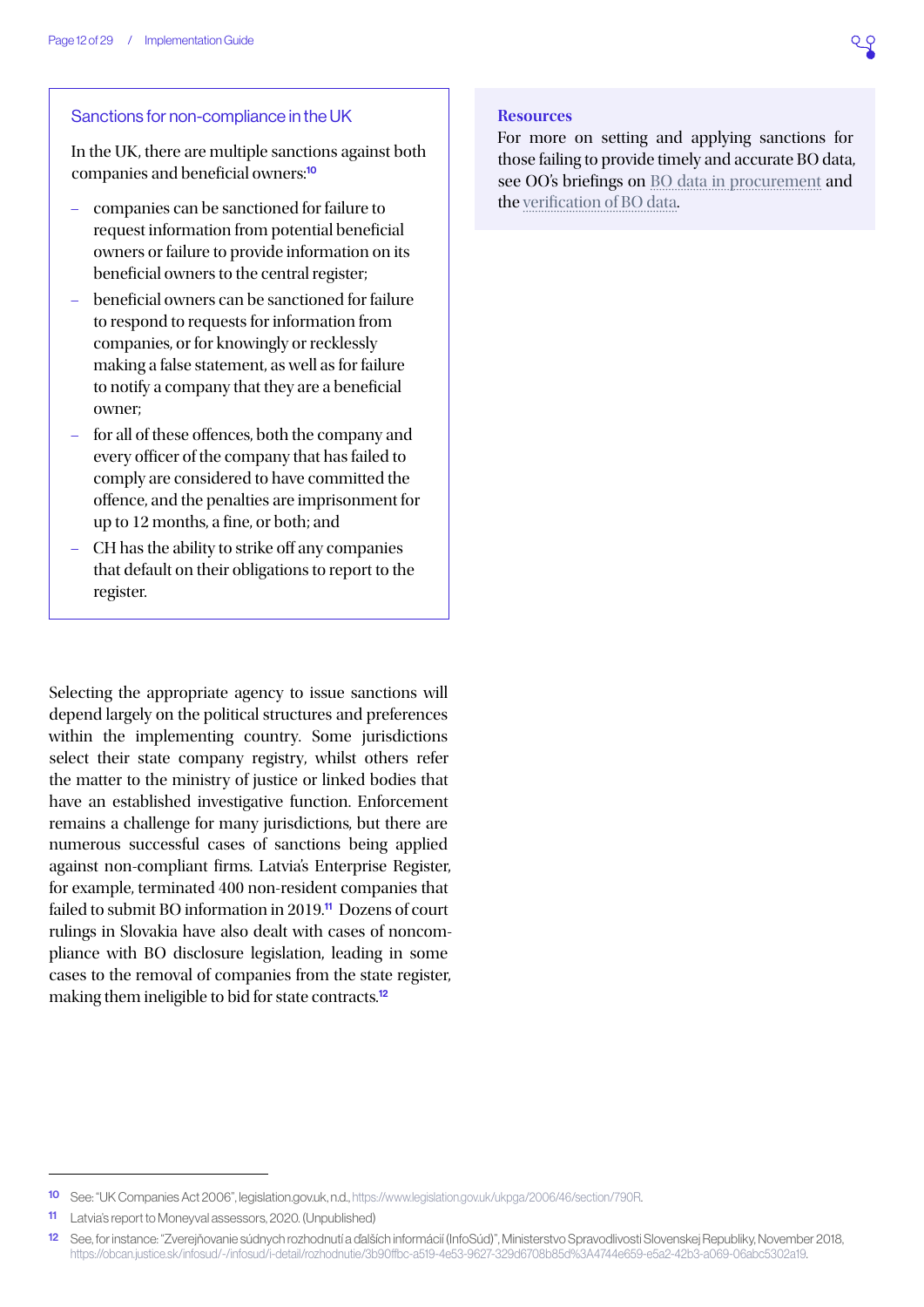

#### Sanctions for non-compliance in the UK

In the UK, there are multiple sanctions against both companies and beneficial owners:<sup>10</sup>

- companies can be sanctioned for failure to request information from potential beneficial owners or failure to provide information on its beneficial owners to the central register;
- beneficial owners can be sanctioned for failure to respond to requests for information from companies, or for knowingly or recklessly making a false statement, as well as for failure to notify a company that they are a beneficial owner;
- for all of these offences, both the company and every officer of the company that has failed to comply are considered to have committed the offence, and the penalties are imprisonment for up to 12 months, a fine, or both; and
- CH has the ability to strike off any companies that default on their obligations to report to the register.

Selecting the appropriate agency to issue sanctions will depend largely on the political structures and preferences within the implementing country. Some jurisdictions select their state company registry, whilst others refer the matter to the ministry of justice or linked bodies that have an established investigative function. Enforcement remains a challenge for many jurisdictions, but there are numerous successful cases of sanctions being applied against non-compliant firms. Latvia's Enterprise Register, for example, terminated 400 non-resident companies that failed to submit BO information in 2019.<sup>11</sup> Dozens of court rulings in Slovakia have also dealt with cases of noncompliance with BO disclosure legislation, leading in some cases to the removal of companies from the state register, making them ineligible to bid for state contracts.<sup>12</sup>

#### **Resources**

For more on setting and applying sanctions for those failing to provide timely and accurate BO data, see OO's briefings on [BO data in procurement](https://www.openownership.org/uploads/OO BO Data in Procurement.pdf) and the [verification of BO data](https://www.openownership.org/uploads/OpenOwnership Verification Briefing.pdf).

<sup>10</sup> See: "UK Companies Act 2006", legislation.gov.uk, n.d.,<https://www.legislation.gov.uk/ukpga/2006/46/section/790R>.

<sup>11</sup> Latvia's report to Moneyval assessors, 2020. (Unpublished)

<sup>12</sup> See, for instance: "Zverejňovanie súdnych rozhodnutí a ďalších informácií (InfoSúd)", Ministerstvo Spravodlivosti Slovenskej Republiky, November 2018, [https://obcan.justice.sk/infosud/-/infosud/i-detail/rozhodnutie/3b90ffbc-a519-4e53-9627-329d6708b85d%3A4744e659-e5a2-42b3-a069-06abc5302a19.](https://obcan.justice.sk/infosud/-/infosud/i-detail/rozhodnutie/3b90ffbc-a519-4e53-9627-329d6708b85d)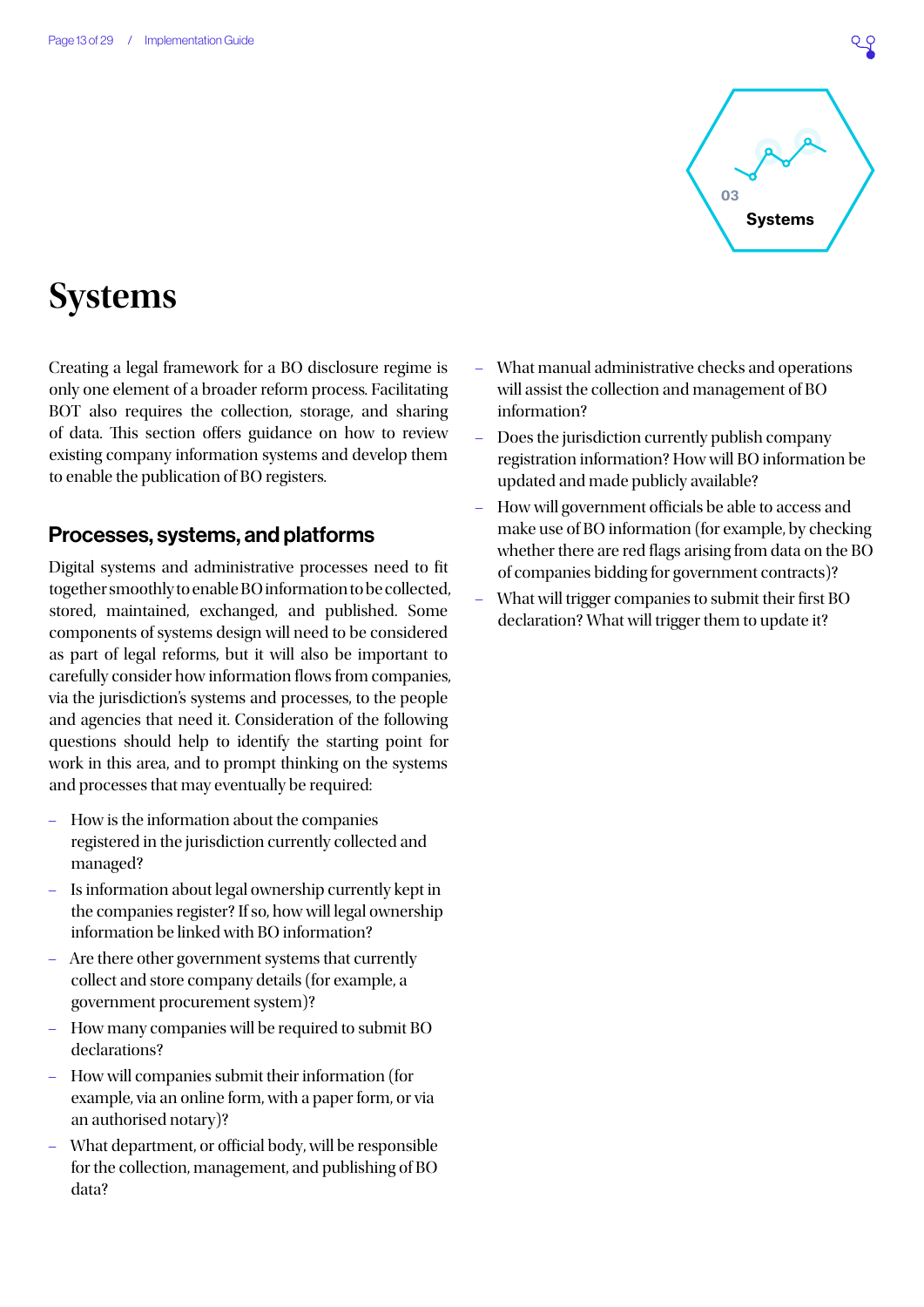

## <span id="page-12-0"></span>**Systems**

Creating a legal framework for a BO disclosure regime is only one element of a broader reform process. Facilitating BOT also requires the collection, storage, and sharing of data. This section offers guidance on how to review existing company information systems and develop them to enable the publication of BO registers.

## Processes, systems, and platforms

Digital systems and administrative processes need to fit together smoothly to enable BO information to be collected, stored, maintained, exchanged, and published. Some components of systems design will need to be considered as part of legal reforms, but it will also be important to carefully consider how information flows from companies, via the jurisdiction's systems and processes, to the people and agencies that need it. Consideration of the following questions should help to identify the starting point for work in this area, and to prompt thinking on the systems and processes that may eventually be required:

- How is the information about the companies registered in the jurisdiction currently collected and managed?
- Is information about legal ownership currently kept in the companies register? If so, how will legal ownership information be linked with BO information?
- Are there other government systems that currently collect and store company details (for example, a government procurement system)?
- How many companies will be required to submit BO declarations?
- How will companies submit their information (for example, via an online form, with a paper form, or via an authorised notary)?
- What department, or official body, will be responsible for the collection, management, and publishing of BO data?
- What manual administrative checks and operations will assist the collection and management of BO information?
- Does the jurisdiction currently publish company registration information? How will BO information be updated and made publicly available?
- How will government officials be able to access and make use of BO information (for example, by checking whether there are red flags arising from data on the BO of companies bidding for government contracts)?
- What will trigger companies to submit their first BO declaration? What will trigger them to update it?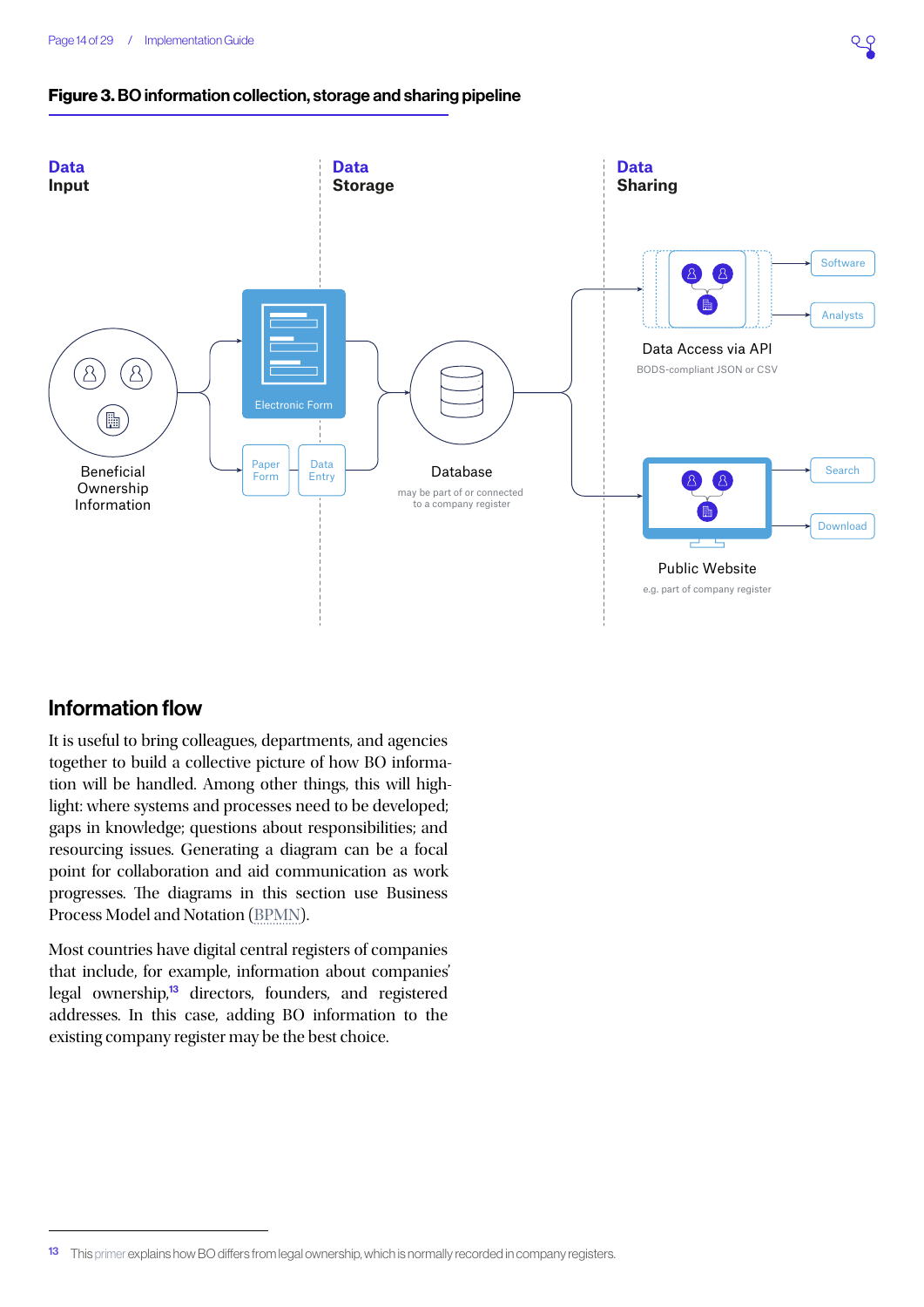### Figure 3. BO information collection, storage and sharing pipeline



## Information flow

It is useful to bring colleagues, departments, and agencies together to build a collective picture of how BO information will be handled. Among other things, this will highlight: where systems and processes need to be developed; gaps in knowledge; questions about responsibilities; and resourcing issues. Generating a diagram can be a focal point for collaboration and aid communication as work progresses. The diagrams in this section use Business Process Model and Notation ([BPMN](http://www.bpmn.org/)).

Most countries have digital central registers of companies that include, for example, information about companies' legal ownership,<sup>13</sup> directors, founders, and registered addresses. In this case, adding BO information to the existing company register may be the best choice.

<sup>13</sup> This [primer](http://standard.openownership.org/en/0.2.0/primer/whatisbo.html) explains how BO differs from legal ownership, which is normally recorded in company registers.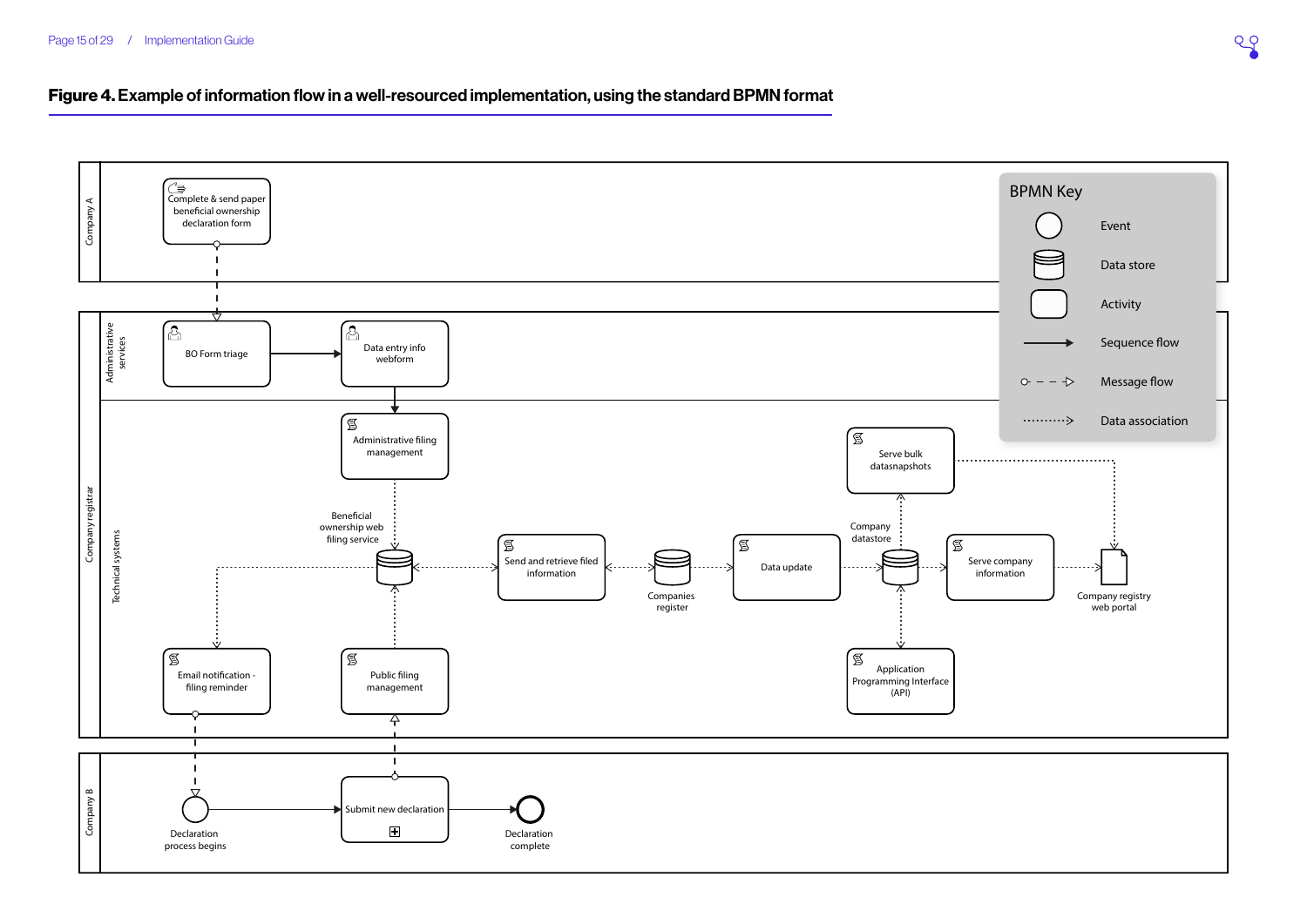#### Figure 4. Example of information flow in a well-resourced implementation, using the standard BPMN format

<span id="page-14-0"></span>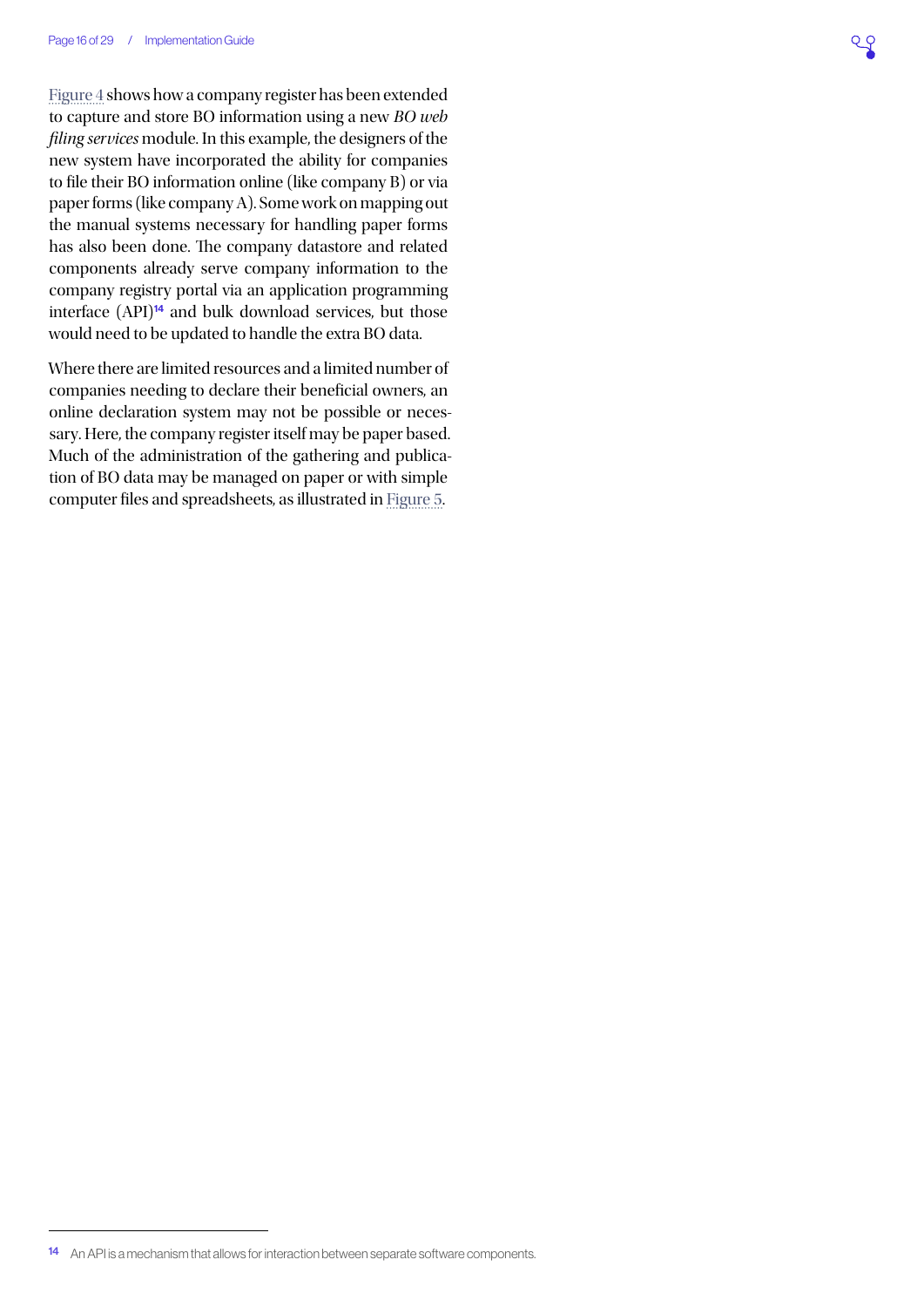[Figure 4](#page-14-0) shows how a company register has been extended to capture and store BO information using a new *BO web filing services* module. In this example, the designers of the new system have incorporated the ability for companies to file their BO information online (like company B) or via paper forms (like company A). Some work on mapping out the manual systems necessary for handling paper forms has also been done. The company datastore and related components already serve company information to the company registry portal via an application programming interface  $(API)^{14}$  and bulk download services, but those would need to be updated to handle the extra BO data.

Where there are limited resources and a limited number of companies needing to declare their beneficial owners, an online declaration system may not be possible or necessary. Here, the company register itself may be paper based. Much of the administration of the gathering and publication of BO data may be managed on paper or with simple computer files and spreadsheets, as illustrated in [Figure 5](#page-16-0).

<sup>14</sup> An API is a mechanism that allows for interaction between separate software components.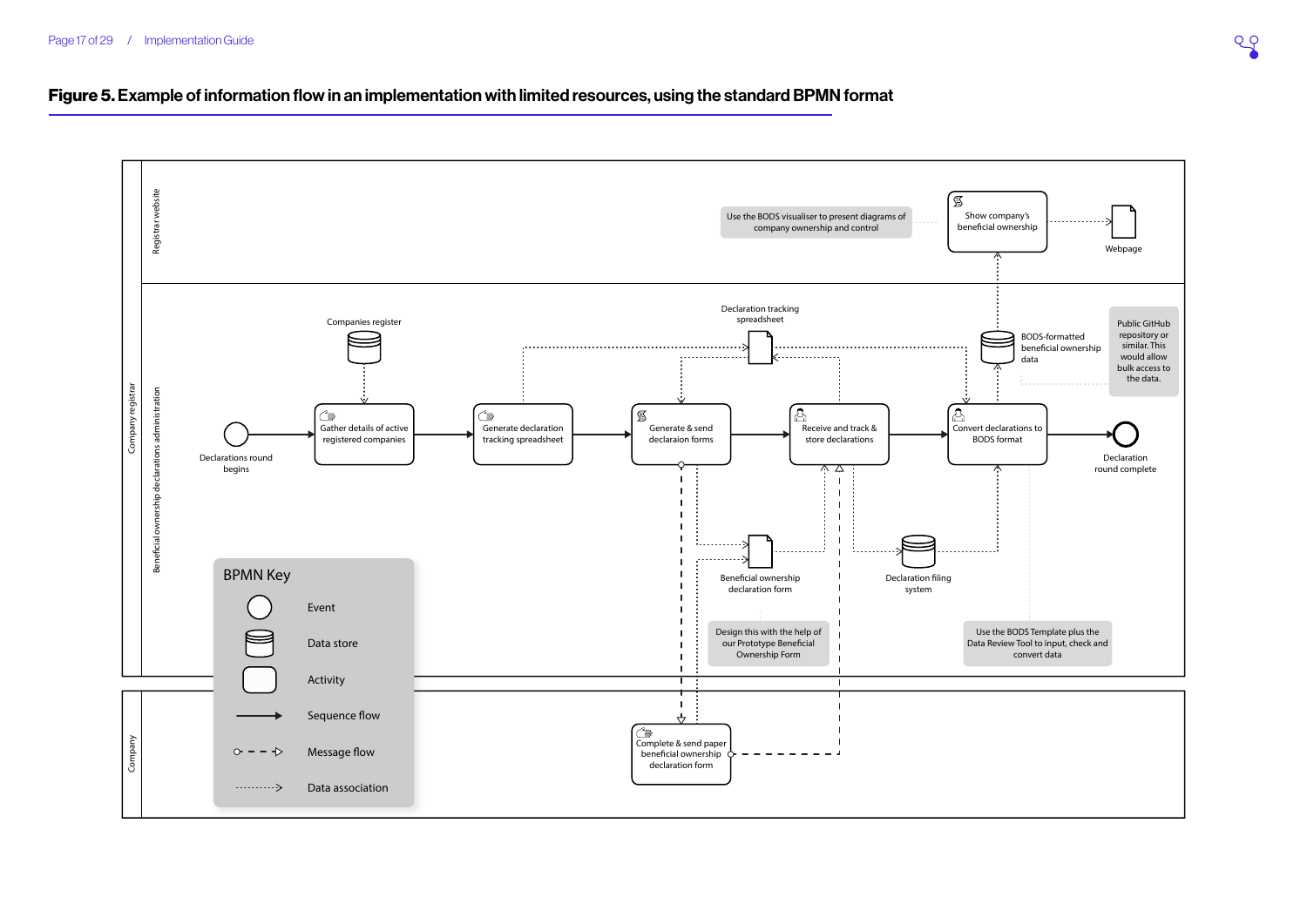<span id="page-16-0"></span>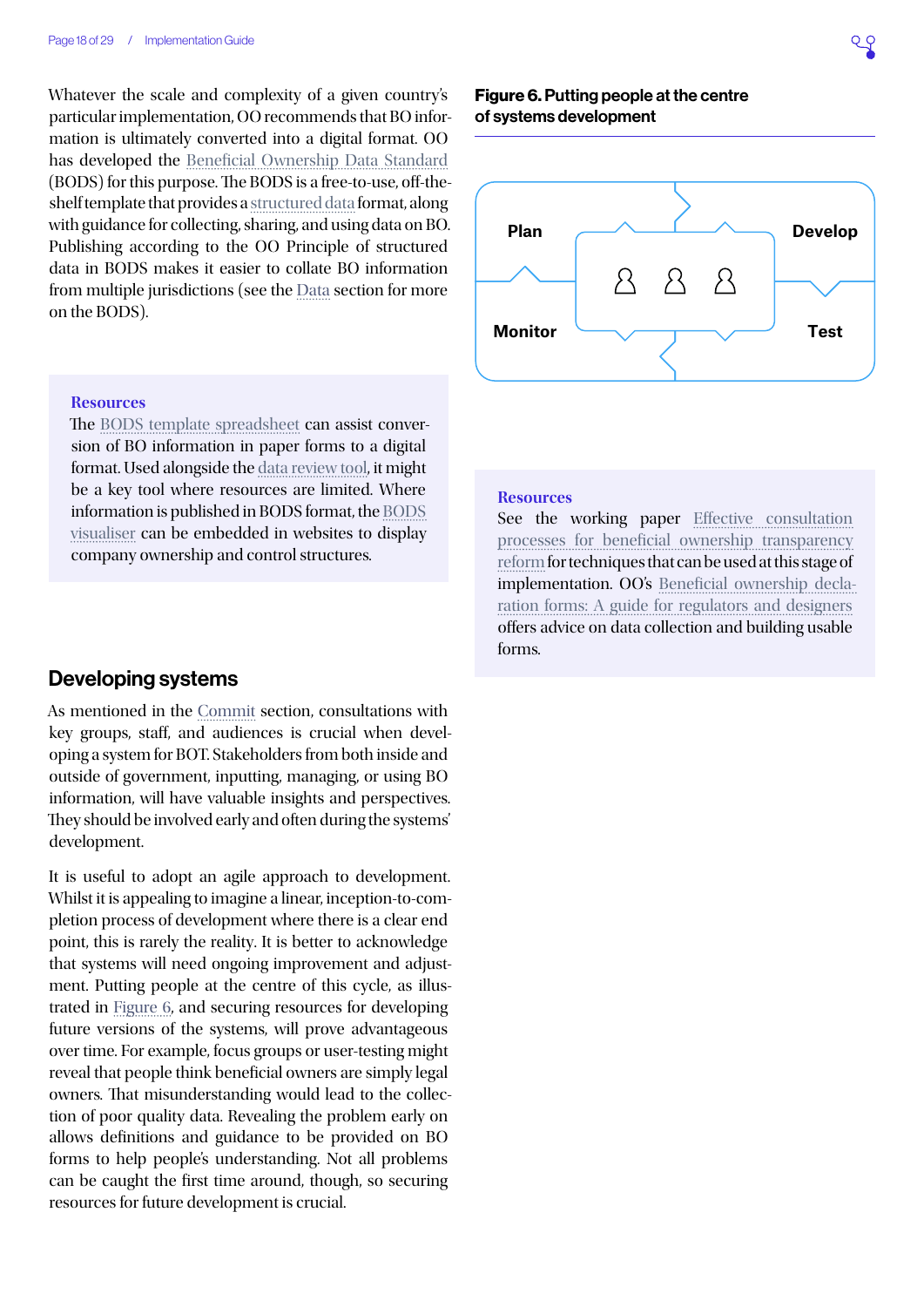Whatever the scale and complexity of a given country's particular implementation, OO recommends that BO information is ultimately converted into a digital format. OO has developed the [Beneficial Ownership Data Standard](http://standard.openownership.org/en/0.2.0/) (BODS) for this purpose. The BODS is a free-to-use, off-theshelf template that provides a [structured data](https://www.openownership.org/principles/structured-data/) format, along with guidance for collecting, sharing, and using data on BO. Publishing according to the OO Principle of structured data in BODS makes it easier to collate BO information from multiple jurisdictions (see the [Data](#page-18-0) section for more on the BODS).

#### **Resources**

The [BODS template spreadsheet](https://docs.google.com/spreadsheets/d/1gH_75OJbpsrmcw_zqgrNcDEY1jcC6Aj3cFGAvw3Jx-E/copy) can assist conversion of BO information in paper forms to a digital format. Used alongside the [data review tool,](https://datareview.openownership.org/) it might be a key tool where resources are limited. Where information is published in BODS format, the [BODS](https://www.openownership.org/visualisation/visualisation-tool/)  [visualiser](https://www.openownership.org/visualisation/visualisation-tool/) can be embedded in websites to display company ownership and control structures.

### Developing systems

As mentioned in the [Commit](#page-3-0) section, consultations with key groups, staff, and audiences is crucial when developing a system for BOT. Stakeholders from both inside and outside of government, inputting, managing, or using BO information, will have valuable insights and perspectives. They should be involved early and often during the systems' development.

It is useful to adopt an agile approach to development. Whilst it is appealing to imagine a linear, inception-to-completion process of development where there is a clear end point, this is rarely the reality. It is better to acknowledge that systems will need ongoing improvement and adjustment. Putting people at the centre of this cycle, as illustrated in [Figure 6](#page-17-0), and securing resources for developing future versions of the systems, will prove advantageous over time. For example, focus groups or user-testing might reveal that people think beneficial owners are simply legal owners. That misunderstanding would lead to the collection of poor quality data. Revealing the problem early on allows definitions and guidance to be provided on BO forms to help people's understanding. Not all problems can be caught the first time around, though, so securing resources for future development is crucial.

#### <span id="page-17-0"></span>Figure 6. Putting people at the centre of systems development



#### **Resources**

See the working paper Effective consultation [processes for beneficial ownership transparency](https://www.openownership.org/uploads/open-ownership-effective-consultation-processes-for-bot.pdf)  [reform](https://www.openownership.org/uploads/open-ownership-effective-consultation-processes-for-bot.pdf) for techniques that can be used at this stage of implementation. OO's [Beneficial ownership decla](https://docs.google.com/document/d/1VnuRYluq1NBKLJtnqTCtaaBk8kNQ8K6Xypvke08_PNY/edit#heading=h.tyjcwt)[ration forms: A guide for regulators and designers](https://docs.google.com/document/d/1VnuRYluq1NBKLJtnqTCtaaBk8kNQ8K6Xypvke08_PNY/edit#heading=h.tyjcwt) offers advice on data collection and building usable forms.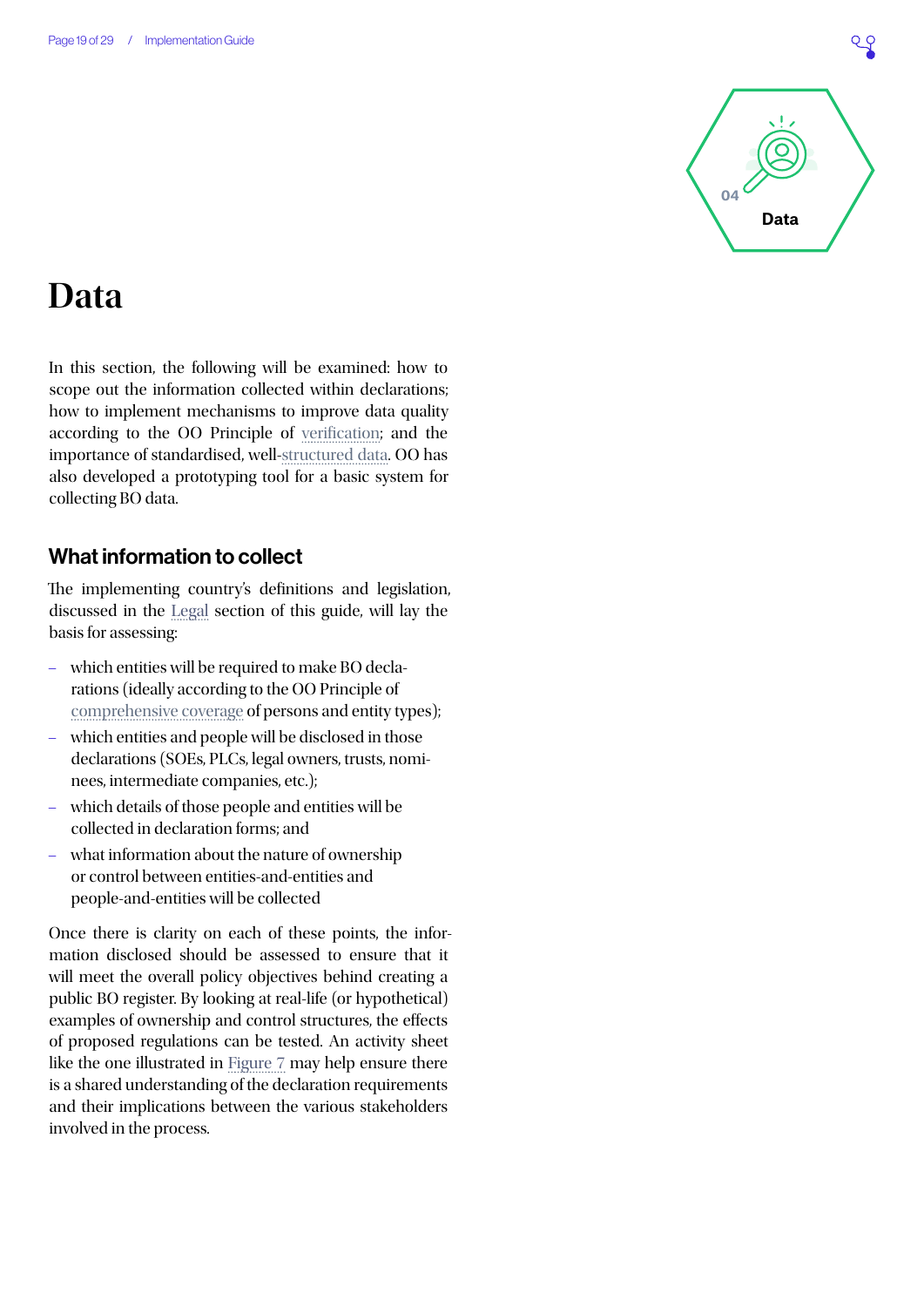

## <span id="page-18-0"></span>**Data**

In this section, the following will be examined: how to scope out the information collected within declarations; how to implement mechanisms to improve data quality according to the OO Principle of [verification;](https://www.openownership.org/principles/verified/) and the importance of standardised, well-[structured data](https://www.openownership.org/principles/structured-data/). OO has also developed a prototyping tool for a basic system for collecting BO data.

## What information to collect

The implementing country's definitions and legislation, discussed in the [Legal](#page-6-0) section of this guide, will lay the basis for assessing:

- which entities will be required to make BO declarations (ideally according to the OO Principle of [comprehensive coverage](https://www.openownership.org/principles/comprehensive-coverage/) of persons and entity types);
- which entities and people will be disclosed in those declarations (SOEs, PLCs, legal owners, trusts, nominees, intermediate companies, etc.);
- which details of those people and entities will be collected in declaration forms; and
- what information about the nature of ownership or control between entities-and-entities and people-and-entities will be collected

Once there is clarity on each of these points, the information disclosed should be assessed to ensure that it will meet the overall policy objectives behind creating a public BO register. By looking at real-life (or hypothetical) examples of ownership and control structures, the effects of proposed regulations can be tested. An activity sheet like the one illustrated in [Figure 7](#page-19-0) may help ensure there is a shared understanding of the declaration requirements and their implications between the various stakeholders involved in the process.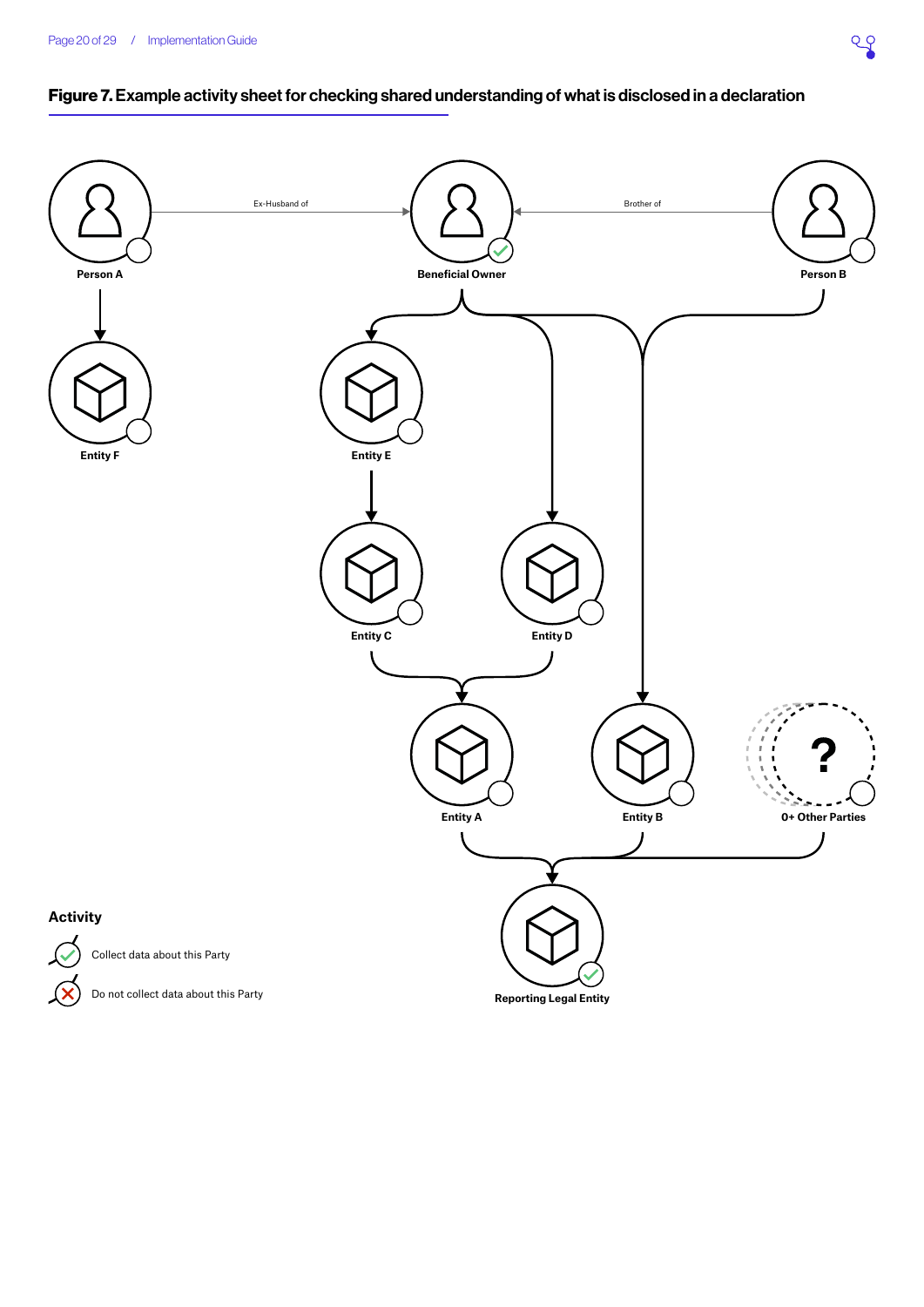## <span id="page-19-0"></span>Figure 7. Example activity sheet for checking shared understanding of what is disclosed in a declaration



 $\infty$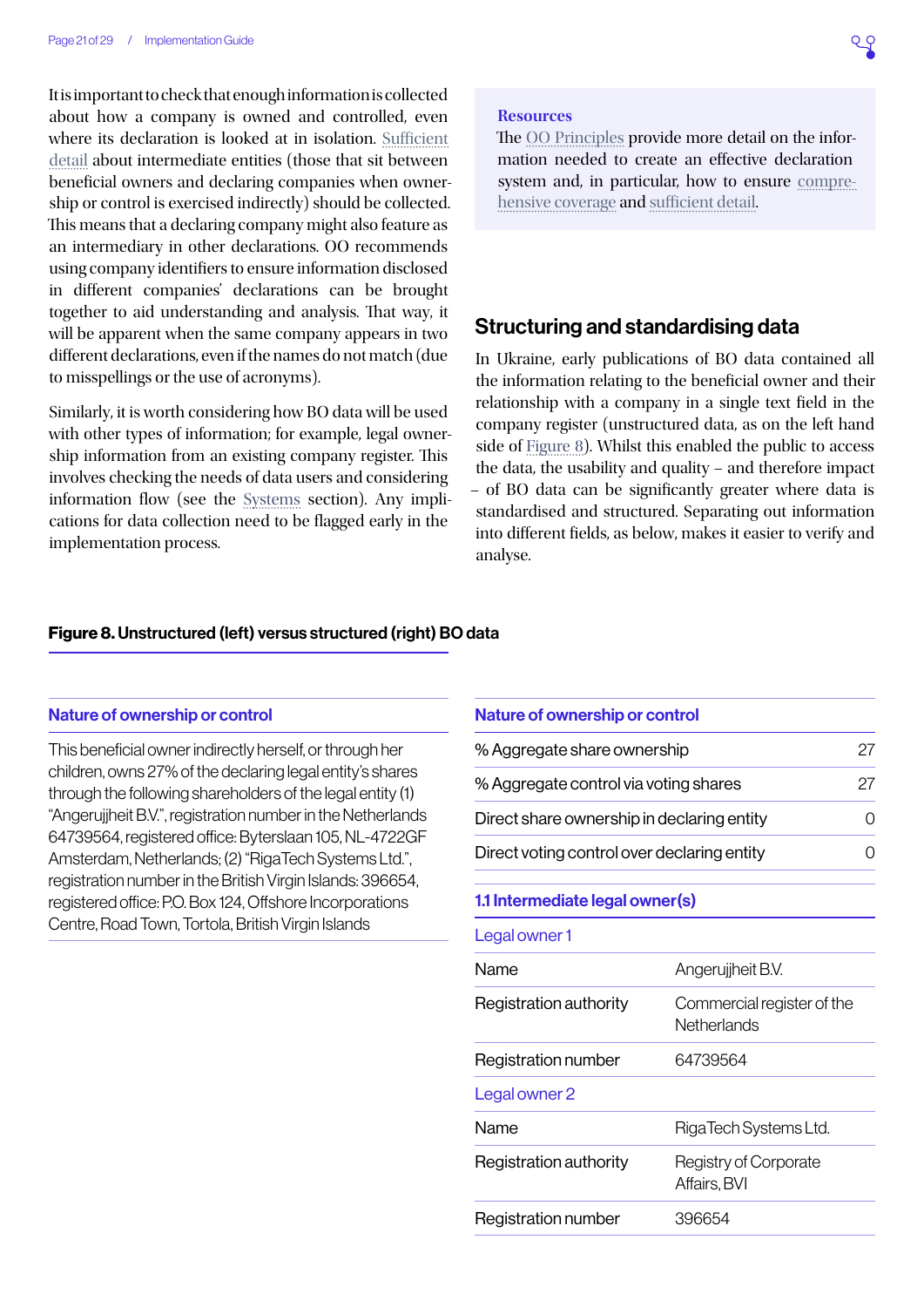It is important to check that enough information is collected about how a company is owned and controlled, even where its declaration is looked at in isolation. [Sufficient](https://www.openownership.org/principles/sufficient-detail/)  [detail](https://www.openownership.org/principles/sufficient-detail/) about intermediate entities (those that sit between beneficial owners and declaring companies when ownership or control is exercised indirectly) should be collected. This means that a declaring company might also feature as an intermediary in other declarations. OO recommends using company identifiers to ensure information disclosed in different companies' declarations can be brought together to aid understanding and analysis. That way, it will be apparent when the same company appears in two different declarations, even if the names do not match (due to misspellings or the use of acronyms).

Similarly, it is worth considering how BO data will be used with other types of information; for example, legal ownership information from an existing company register. This involves checking the needs of data users and considering information flow (see the [Systems](#page-12-0) section). Any implications for data collection need to be flagged early in the implementation process.

#### **Resources**

The [OO Principles](https://www.openownership.org/principles/) provide more detail on the information needed to create an effective declaration system and, in particular, how to ensure [compre](https://www.openownership.org/principles/comprehensive-coverage/)[hensive coverage](https://www.openownership.org/principles/comprehensive-coverage/) and [sufficient detail.](https://www.openownership.org/principles/sufficient-detail/)

### Structuring and standardising data

In Ukraine, early publications of BO data contained all the information relating to the beneficial owner and their relationship with a company in a single text field in the company register (unstructured data, as on the left hand side of [Figure 8\)](#page-20-0). Whilst this enabled the public to access the data, the usability and quality – and therefore impact – of BO data can be significantly greater where data is standardised and structured. Separating out information into different fields, as below, makes it easier to verify and analyse.

#### <span id="page-20-0"></span>Figure 8. Unstructured (left) versus structured (right) BO data

#### Nature of ownership or control

This beneficial owner indirectly herself, or through her children, owns 27% of the declaring legal entity's shares through the following shareholders of the legal entity (1) "Angerujjheit B.V.", registration number in the Netherlands 64739564, registered office: Byterslaan 105, NL-4722GF Amsterdam, Netherlands; (2) "RigaTech Systems Ltd.", registration number in the British Virgin Islands: 396654, registered office: P.O. Box 124, Offshore Incorporations Centre, Road Town, Tortola, British Virgin Islands

| <b>Nature of ownership or control</b>       |                                           |           |
|---------------------------------------------|-------------------------------------------|-----------|
| % Aggregate share ownership                 |                                           | 27        |
| % Aggregate control via voting shares       |                                           | 27        |
| Direct share ownership in declaring entity  |                                           | $\bigcap$ |
| Direct voting control over declaring entity |                                           | Ω         |
| 1.1 Intermediate legal owner(s)             |                                           |           |
| Legal owner 1                               |                                           |           |
| Name                                        | Angerujjheit B.V.                         |           |
| Registration authority                      | Commercial register of the<br>Netherlands |           |
| Registration number                         | 64739564                                  |           |
| Legal owner 2                               |                                           |           |
| Name                                        | RigaTech Systems Ltd.                     |           |
| Registration authority                      | Registry of Corporate<br>Affairs, BVI     |           |
| Registration number                         | 396654                                    |           |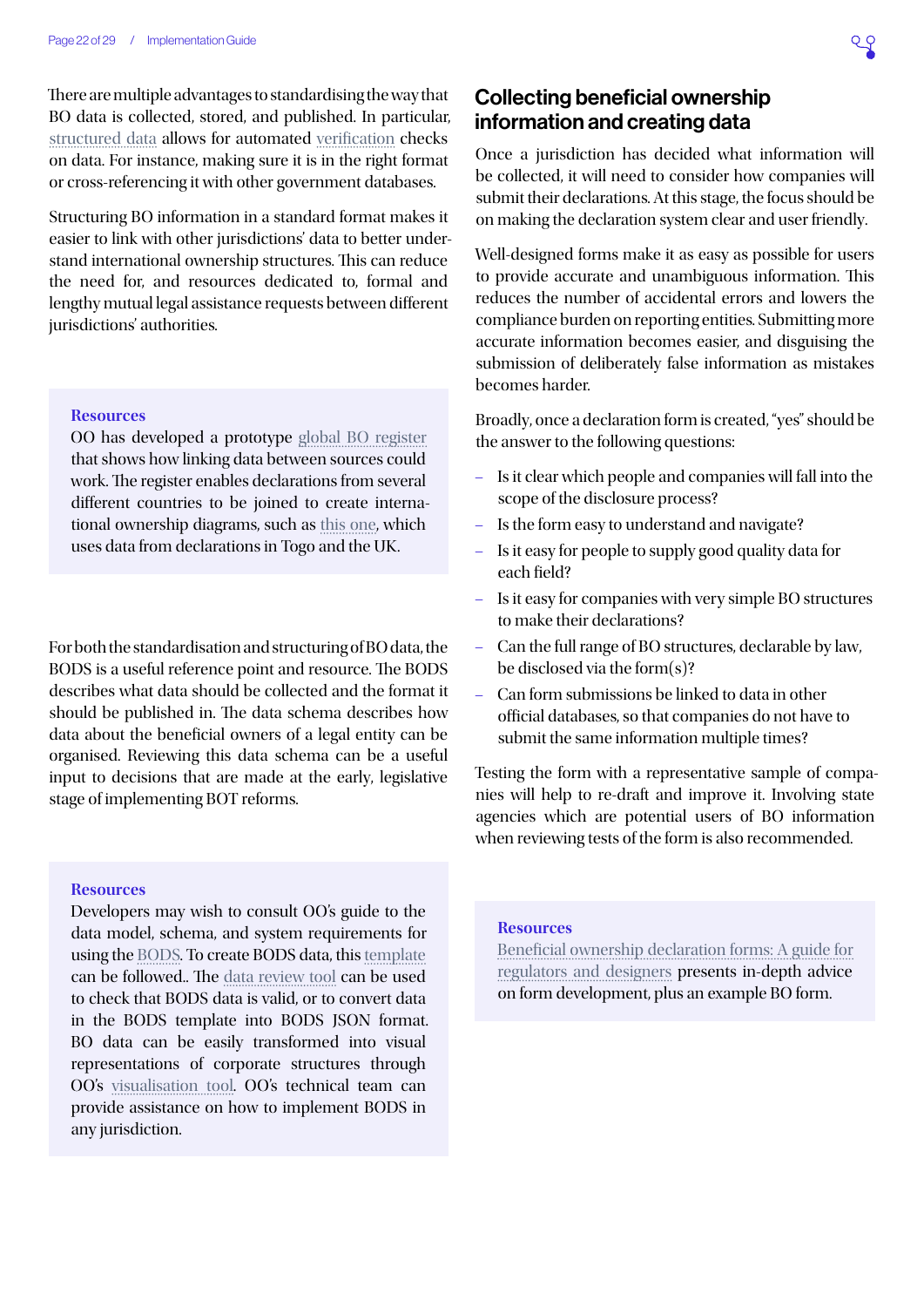There are multiple advantages to standardising the way that BO data is collected, stored, and published. In particular, [structured data](https://www.openownership.org/principles/structured-data/) allows for automated [verification](https://www.openownership.org/principles/verified/) checks on data. For instance, making sure it is in the right format or cross-referencing it with other government databases.

Structuring BO information in a standard format makes it easier to link with other jurisdictions' data to better understand international ownership structures. This can reduce the need for, and resources dedicated to, formal and lengthy mutual legal assistance requests between different jurisdictions' authorities.

#### **Resources**

OO has developed a prototype [global BO register](https://register.openownership.org/) that shows how linking data between sources could work. The register enables declarations from several different countries to be joined to create international ownership diagrams, such as [this one](https://register.openownership.org/entities/59bfefd367e4ebf3402d4bc0/graph), which uses data from declarations in Togo and the UK.

For both the standardisation and structuring of BO data, the BODS is a useful reference point and resource. The BODS describes what data should be collected and the format it should be published in. The data schema describes how data about the beneficial owners of a legal entity can be organised. Reviewing this data schema can be a useful input to decisions that are made at the early, legislative stage of implementing BOT reforms.

#### **Resources**

Developers may wish to consult OO's guide to the data model, schema, and system requirements for using the [BODS](http://standard.openownership.org/en/0.2.0/). To create BODS data, this [template](https://docs.google.com/spreadsheets/d/1J-texUUH1AjnZ7Yy4y52M8xw6kaPMZ5Mqfar7O2fbH0/copy) can be followed.. The [data review tool](https://datareview.openownership.org/) can be used to check that BODS data is valid, or to convert data in the BODS template into BODS JSON format. BO data can be easily transformed into visual representations of corporate structures through OO's [visualisation tool](https://www.openownership.org/news/launching-our-visualisation-library-for-beneficial-ownership-data-standard-data/). OO's technical team can provide assistance on how to implement BODS in any jurisdiction.

## Collecting beneficial ownership information and creating data

Once a jurisdiction has decided what information will be collected, it will need to consider how companies will submit their declarations. At this stage, the focus should be on making the declaration system clear and user friendly.

Well-designed forms make it as easy as possible for users to provide accurate and unambiguous information. This reduces the number of accidental errors and lowers the compliance burden on reporting entities. Submitting more accurate information becomes easier, and disguising the submission of deliberately false information as mistakes becomes harder.

Broadly, once a declaration form is created, "yes" should be the answer to the following questions:

- Is it clear which people and companies will fall into the scope of the disclosure process?
- Is the form easy to understand and navigate?
- Is it easy for people to supply good quality data for each field?
- Is it easy for companies with very simple BO structures to make their declarations?
- Can the full range of BO structures, declarable by law, be disclosed via the form(s)?
- Can form submissions be linked to data in other official databases, so that companies do not have to submit the same information multiple times?

Testing the form with a representative sample of companies will help to re-draft and improve it. Involving state agencies which are potential users of BO information when reviewing tests of the form is also recommended.

#### **Resources**

[Beneficial ownership declaration forms: A guide for](https://docs.google.com/document/d/1VnuRYluq1NBKLJtnqTCtaaBk8kNQ8K6Xypvke08_PNY/edit#heading=h.tyjcwt) [regulators and designers](https://docs.google.com/document/d/1VnuRYluq1NBKLJtnqTCtaaBk8kNQ8K6Xypvke08_PNY/edit#heading=h.tyjcwt) presents in-depth advice on form development, plus an example BO form.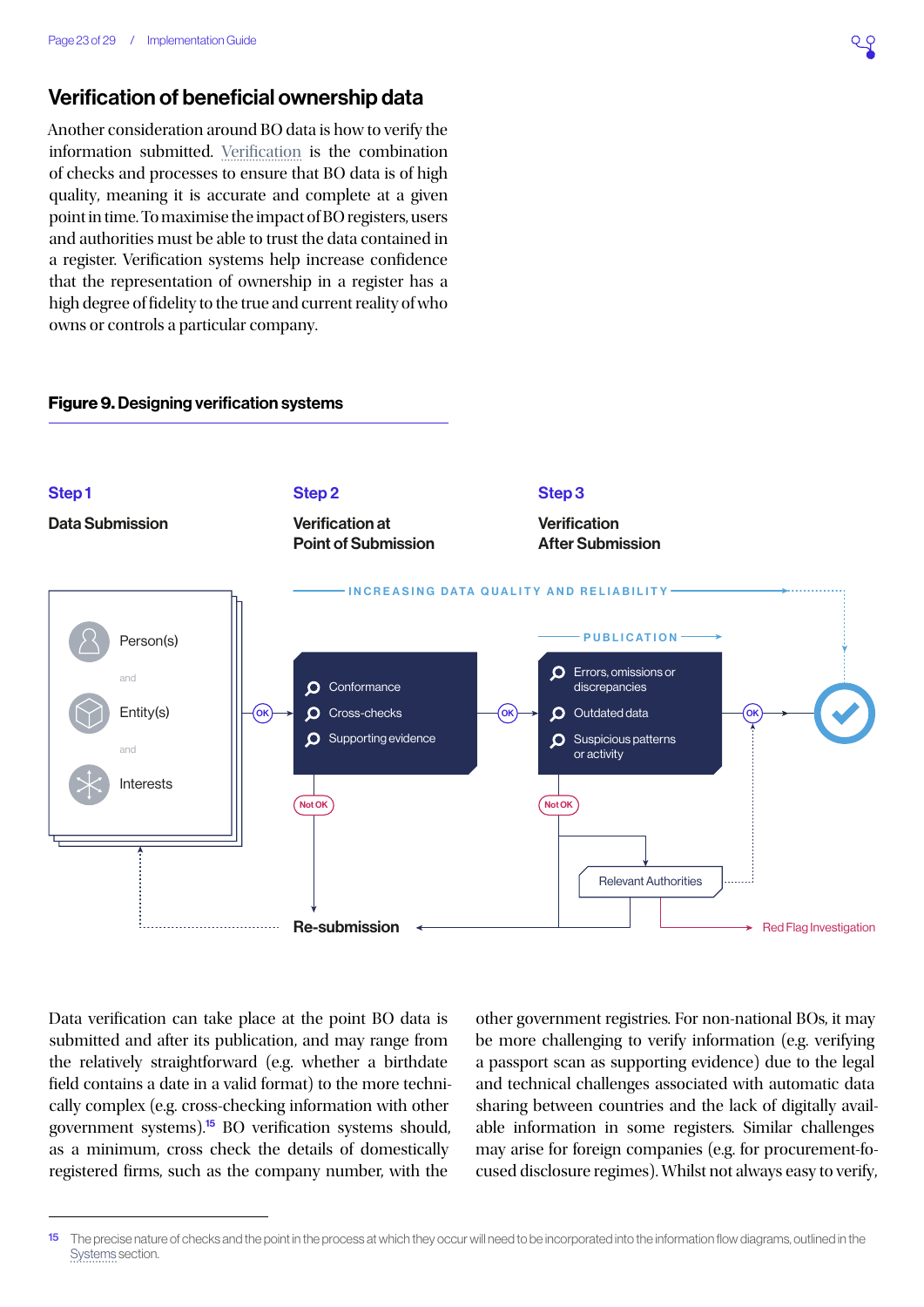## Verification of beneficial ownership data

Another consideration around BO data is how to verify the information submitted. [Verification](https://www.openownership.org/principles/verified/) is the combination of checks and processes to ensure that BO data is of high quality, meaning it is accurate and complete at a given point in time. To maximise the impact of BO registers, users and authorities must be able to trust the data contained in a register. Verification systems help increase confidence that the representation of ownership in a register has a high degree of fidelity to the true and current reality of who owns or controls a particular company.

#### Figure 9. Designing verification systems



Data verification can take place at the point BO data is submitted and after its publication, and may range from the relatively straightforward (e.g. whether a birthdate field contains a date in a valid format) to the more technically complex (e.g. cross-checking information with other government systems).<sup>15</sup> BO verification systems should, as a minimum, cross check the details of domestically registered firms, such as the company number, with the

other government registries. For non-national BOs, it may be more challenging to verify information (e.g. verifying a passport scan as supporting evidence) due to the legal and technical challenges associated with automatic data sharing between countries and the lack of digitally available information in some registers. Similar challenges may arise for foreign companies (e.g. for procurement-focused disclosure regimes). Whilst not always easy to verify,

<sup>15</sup> The precise nature of checks and the point in the process at which they occur will need to be incorporated into the information flow diagrams, outlined in the [Systems](#page-12-0) section.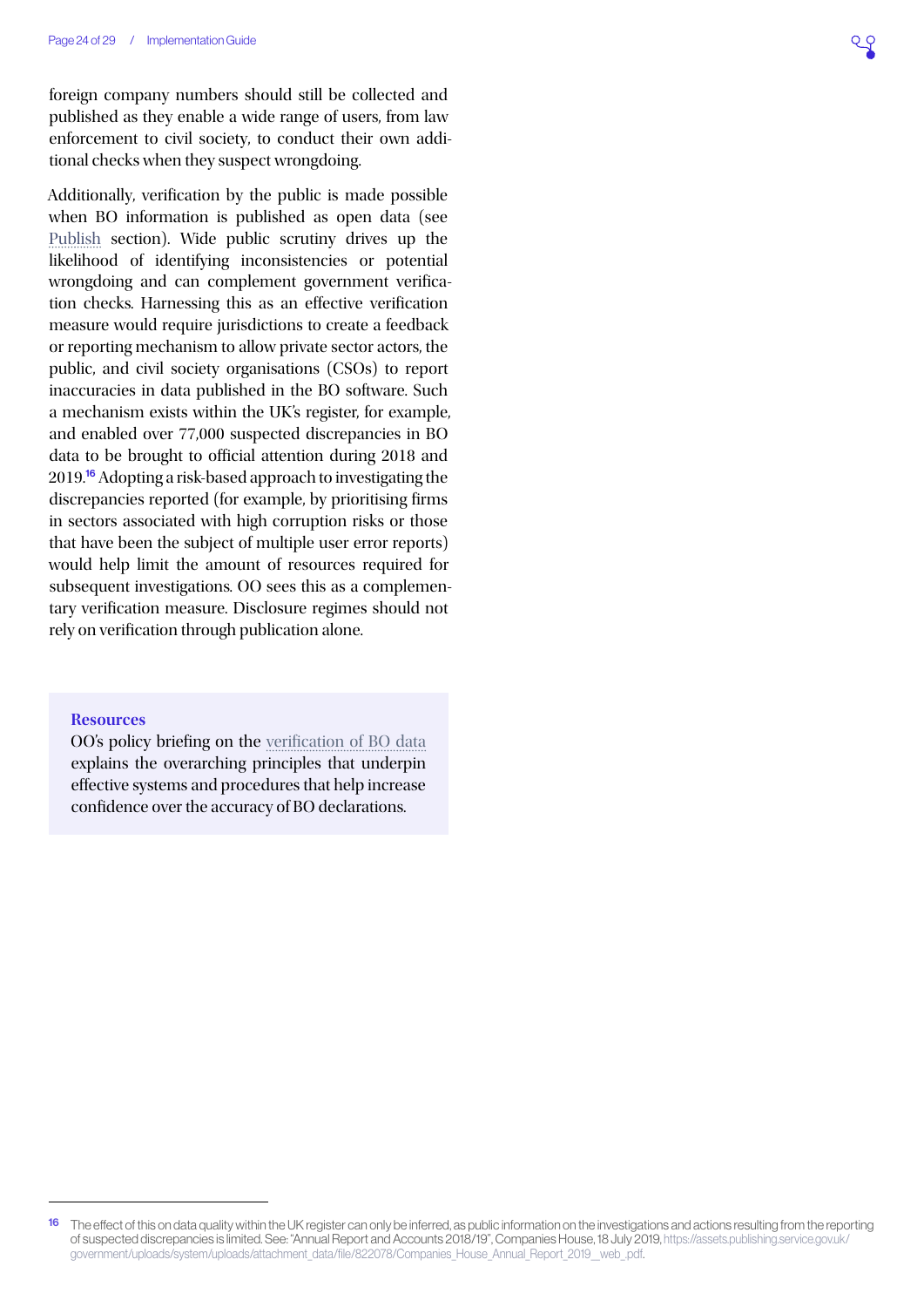foreign company numbers should still be collected and published as they enable a wide range of users, from law enforcement to civil society, to conduct their own additional checks when they suspect wrongdoing.

Additionally, verification by the public is made possible when BO information is published as open data (see [Publish](#page-24-0) section). Wide public scrutiny drives up the likelihood of identifying inconsistencies or potential wrongdoing and can complement government verification checks. Harnessing this as an effective verification measure would require jurisdictions to create a feedback or reporting mechanism to allow private sector actors, the public, and civil society organisations (CSOs) to report inaccuracies in data published in the BO software. Such a mechanism exists within the UK's register, for example, and enabled over 77,000 suspected discrepancies in BO data to be brought to official attention during 2018 and 2019.<sup>16</sup> Adopting a risk-based approach to investigating the discrepancies reported (for example, by prioritising firms in sectors associated with high corruption risks or those that have been the subject of multiple user error reports) would help limit the amount of resources required for subsequent investigations. OO sees this as a complementary verification measure. Disclosure regimes should not rely on verification through publication alone.

#### **Resources**

OO's policy briefing on the [verification of BO data](https://www.openownership.org/uploads/OpenOwnership%20Verification%20Briefing.pdf) explains the overarching principles that underpin effective systems and procedures that help increase confidence over the accuracy of BO declarations.

<sup>&</sup>lt;sup>16</sup> The effect of this on data quality within the UK register can only be inferred, as public information on the investigations and actions resulting from the reporting of suspected discrepancies is limited. See: "Annual Report and Accounts 2018/19", Companies House, 18 July 2019, [https://assets.publishing.service.gov.uk/](https://assets.publishing.service.gov.uk/government/uploads/system/uploads/attachment_data/file/8220) [government/uploads/system/uploads/attachment\\_data/file/822078/Companies\\_House\\_Annual\\_Report\\_2019\\_\\_web\\_.pdf](https://assets.publishing.service.gov.uk/government/uploads/system/uploads/attachment_data/file/8220).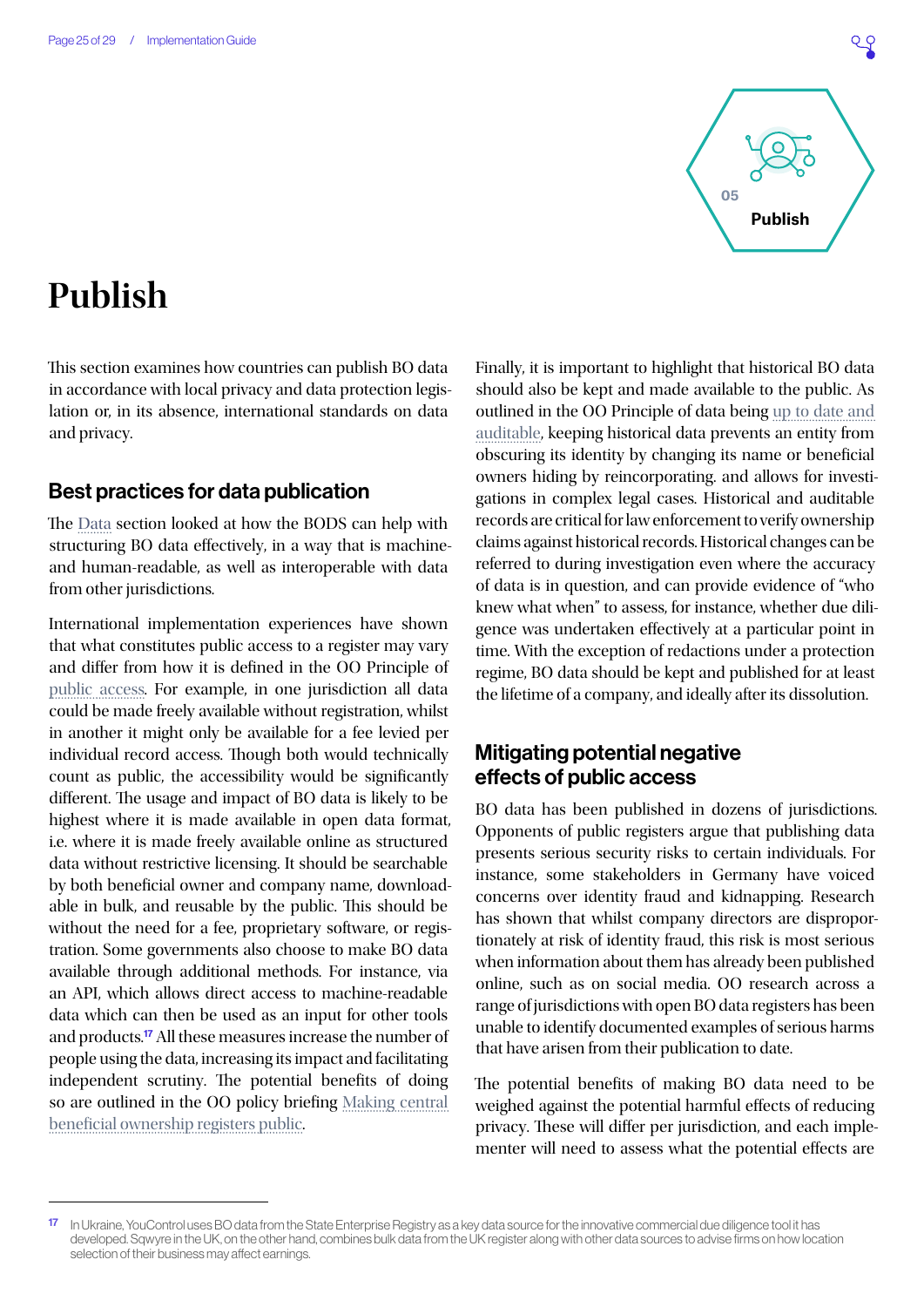

## <span id="page-24-0"></span>**Publish**

This section examines how countries can publish BO data in accordance with local privacy and data protection legislation or, in its absence, international standards on data and privacy.

## Best practices for data publication

The [Data](#page-18-0) section looked at how the BODS can help with structuring BO data effectively, in a way that is machineand human-readable, as well as interoperable with data from other jurisdictions.

International implementation experiences have shown that what constitutes public access to a register may vary and differ from how it is defined in the OO Principle of [public access](https://www.openownership.org/principles/public-access/). For example, in one jurisdiction all data could be made freely available without registration, whilst in another it might only be available for a fee levied per individual record access. Though both would technically count as public, the accessibility would be significantly different. The usage and impact of BO data is likely to be highest where it is made available in open data format, i.e. where it is made freely available online as structured data without restrictive licensing. It should be searchable by both beneficial owner and company name, downloadable in bulk, and reusable by the public. This should be without the need for a fee, proprietary software, or registration. Some governments also choose to make BO data available through additional methods. For instance, via an API, which allows direct access to machine-readable data which can then be used as an input for other tools and products.<sup>17</sup> All these measures increase the number of people using the data, increasing its impact and facilitating independent scrutiny. The potential benefits of doing so are outlined in the OO policy briefing [Making central](https://www.openownership.org/uploads/OO Public Access Briefing.pdf)  [beneficial ownership registers public.](https://www.openownership.org/uploads/OO Public Access Briefing.pdf)

Finally, it is important to highlight that historical BO data should also be kept and made available to the public. As outlined in the OO Principle of data being [up to date and](https://www.openownership.org/principles/up-to-date-auditable/)  [auditable](https://www.openownership.org/principles/up-to-date-auditable/), keeping historical data prevents an entity from obscuring its identity by changing its name or beneficial owners hiding by reincorporating. and allows for investigations in complex legal cases. Historical and auditable records are critical for law enforcement to verify ownership claims against historical records. Historical changes can be referred to during investigation even where the accuracy of data is in question, and can provide evidence of "who knew what when" to assess, for instance, whether due diligence was undertaken effectively at a particular point in time. With the exception of redactions under a protection regime, BO data should be kept and published for at least the lifetime of a company, and ideally after its dissolution.

## Mitigating potential negative effects of public access

BO data has been published in dozens of jurisdictions. Opponents of public registers argue that publishing data presents serious security risks to certain individuals. For instance, some stakeholders in Germany have voiced concerns over identity fraud and kidnapping. Research has shown that whilst company directors are disproportionately at risk of identity fraud, this risk is most serious when information about them has already been published online, such as on social media. OO research across a range of jurisdictions with open BO data registers has been unable to identify documented examples of serious harms that have arisen from their publication to date.

The potential benefits of making BO data need to be weighed against the potential harmful effects of reducing privacy. These will differ per jurisdiction, and each implementer will need to assess what the potential effects are

<sup>17</sup> In Ukraine, YouControl uses BO data from the State Enterprise Registry as a key data source for the innovative commercial due diligence tool it has developed. Sqwyre in the UK, on the other hand, combines bulk data from the UK register along with other data sources to advise firms on how location selection of their business may affect earnings.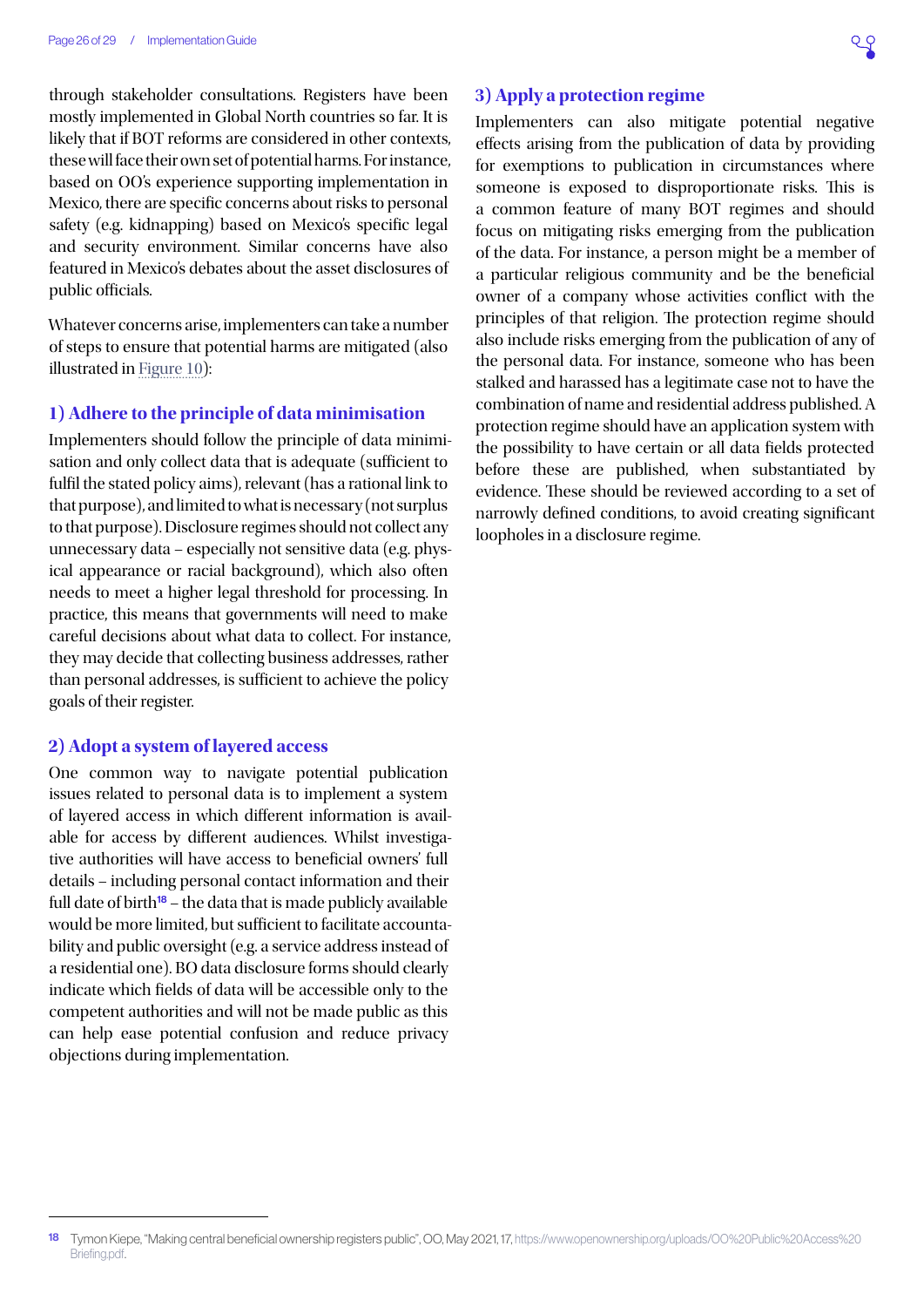through stakeholder consultations. Registers have been mostly implemented in Global North countries so far. It is likely that if BOT reforms are considered in other contexts, these will face their own set of potential harms. For instance, based on OO's experience supporting implementation in Mexico, there are specific concerns about risks to personal safety (e.g. kidnapping) based on Mexico's specific legal and security environment. Similar concerns have also featured in Mexico's debates about the asset disclosures of public officials.

Whatever concerns arise, implementers can take a number of steps to ensure that potential harms are mitigated (also illustrated in [Figure 10\)](#page-26-0):

#### **1) Adhere to the principle of data minimisation**

Implementers should follow the principle of data minimisation and only collect data that is adequate (sufficient to fulfil the stated policy aims), relevant (has a rational link to that purpose), and limited to what is necessary (not surplus to that purpose). Disclosure regimes should not collect any unnecessary data – especially not sensitive data (e.g. physical appearance or racial background), which also often needs to meet a higher legal threshold for processing. In practice, this means that governments will need to make careful decisions about what data to collect. For instance, they may decide that collecting business addresses, rather than personal addresses, is sufficient to achieve the policy goals of their register.

#### **2) Adopt a system of layered access**

One common way to navigate potential publication issues related to personal data is to implement a system of layered access in which different information is available for access by different audiences. Whilst investigative authorities will have access to beneficial owners' full details – including personal contact information and their full date of birth<sup>18</sup> – the data that is made publicly available would be more limited, but sufficient to facilitate accountability and public oversight (e.g. a service address instead of a residential one). BO data disclosure forms should clearly indicate which fields of data will be accessible only to the competent authorities and will not be made public as this can help ease potential confusion and reduce privacy objections during implementation.

### **3) Apply a protection regime**

Implementers can also mitigate potential negative effects arising from the publication of data by providing for exemptions to publication in circumstances where someone is exposed to disproportionate risks. This is a common feature of many BOT regimes and should focus on mitigating risks emerging from the publication of the data. For instance, a person might be a member of a particular religious community and be the beneficial owner of a company whose activities conflict with the principles of that religion. The protection regime should also include risks emerging from the publication of any of the personal data. For instance, someone who has been stalked and harassed has a legitimate case not to have the combination of name and residential address published. A protection regime should have an application system with the possibility to have certain or all data fields protected before these are published, when substantiated by evidence. These should be reviewed according to a set of narrowly defined conditions, to avoid creating significant loopholes in a disclosure regime.

<sup>18</sup> Tymon Kiepe, "Making central beneficial ownership registers public", OO, May 2021, 17, [https://www.openownership.org/uploads/OO%20Public%20Access%20](https://www.openownership.org/uploads/OO%20Public%20Access%20Briefing.pdf) [Briefing.pdf](https://www.openownership.org/uploads/OO%20Public%20Access%20Briefing.pdf).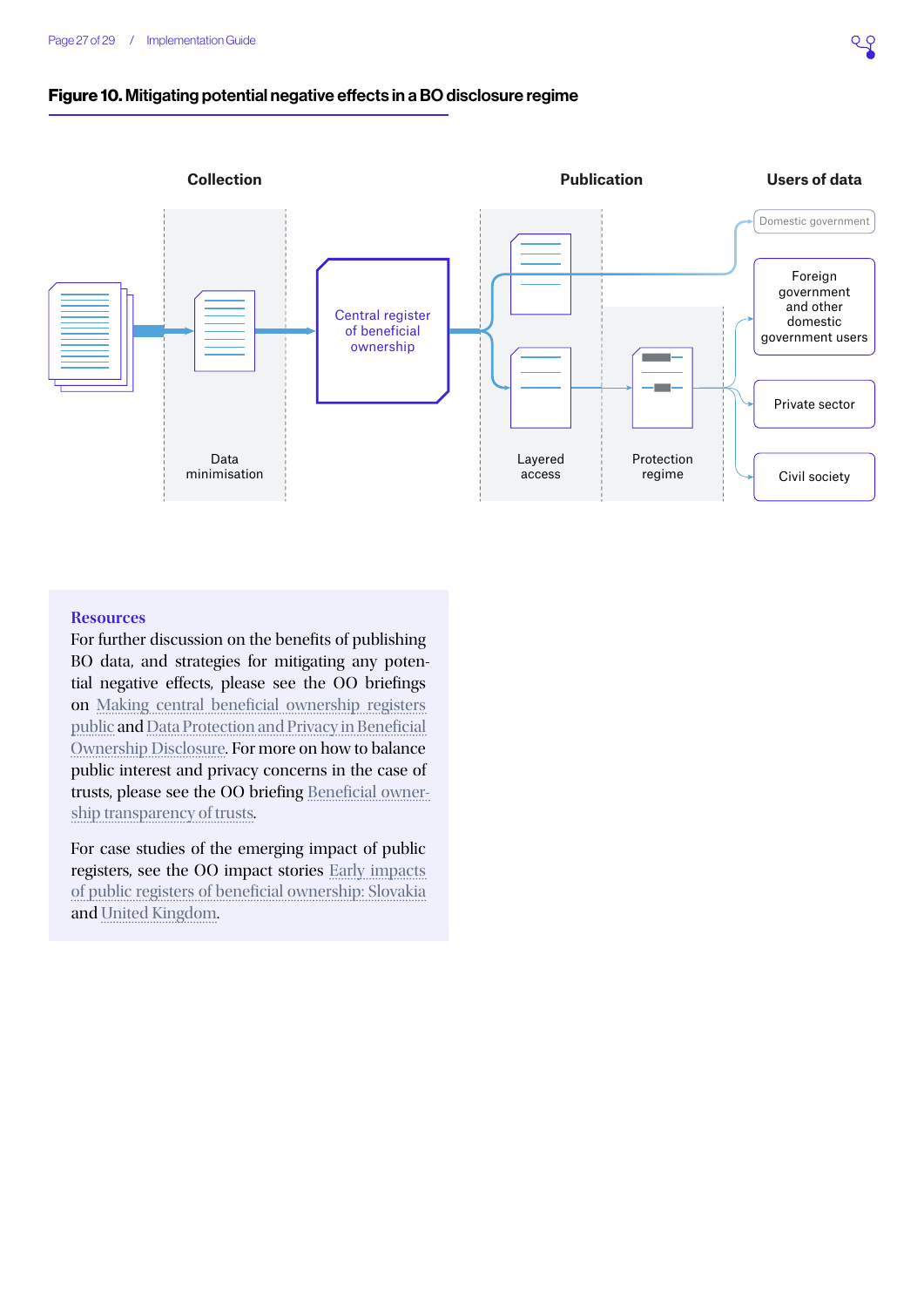### <span id="page-26-0"></span>Figure 10. Mitigating potential negative effects in a BO disclosure regime



#### **Resources**

For further discussion on the benefits of publishing BO data, and strategies for mitigating any potential negative effects, please see the OO briefings on [Making central beneficial ownership registers](https://www.openownership.org/uploads/OO Public Access Briefing.pdf)  [public](https://www.openownership.org/uploads/OO Public Access Briefing.pdf) and [Data Protection and Privacy in Beneficial](https://www.openownership.org/uploads/oo-data-protection-and-privacy-188205.pdf)  [Ownership Disclosure](https://www.openownership.org/uploads/oo-data-protection-and-privacy-188205.pdf). For more on how to balance public interest and privacy concerns in the case of trusts, please see the OO briefing [Beneficial owner](https://www.openownership.org/resources/beneficial-ownership-transparency-of-trusts/)[ship transparency of trusts](https://www.openownership.org/resources/beneficial-ownership-transparency-of-trusts/).

For case studies of the emerging impact of public registers, see the OO impact stories [Early impacts](https://www.openownership.org/uploads/slovakia-impact-story.pdf)  [of public registers of beneficial ownership: Slovakia](https://www.openownership.org/uploads/slovakia-impact-story.pdf) and [United Kingdom.](https://www.openownership.org/uploads/OO Impact Story UK.pdf)

QG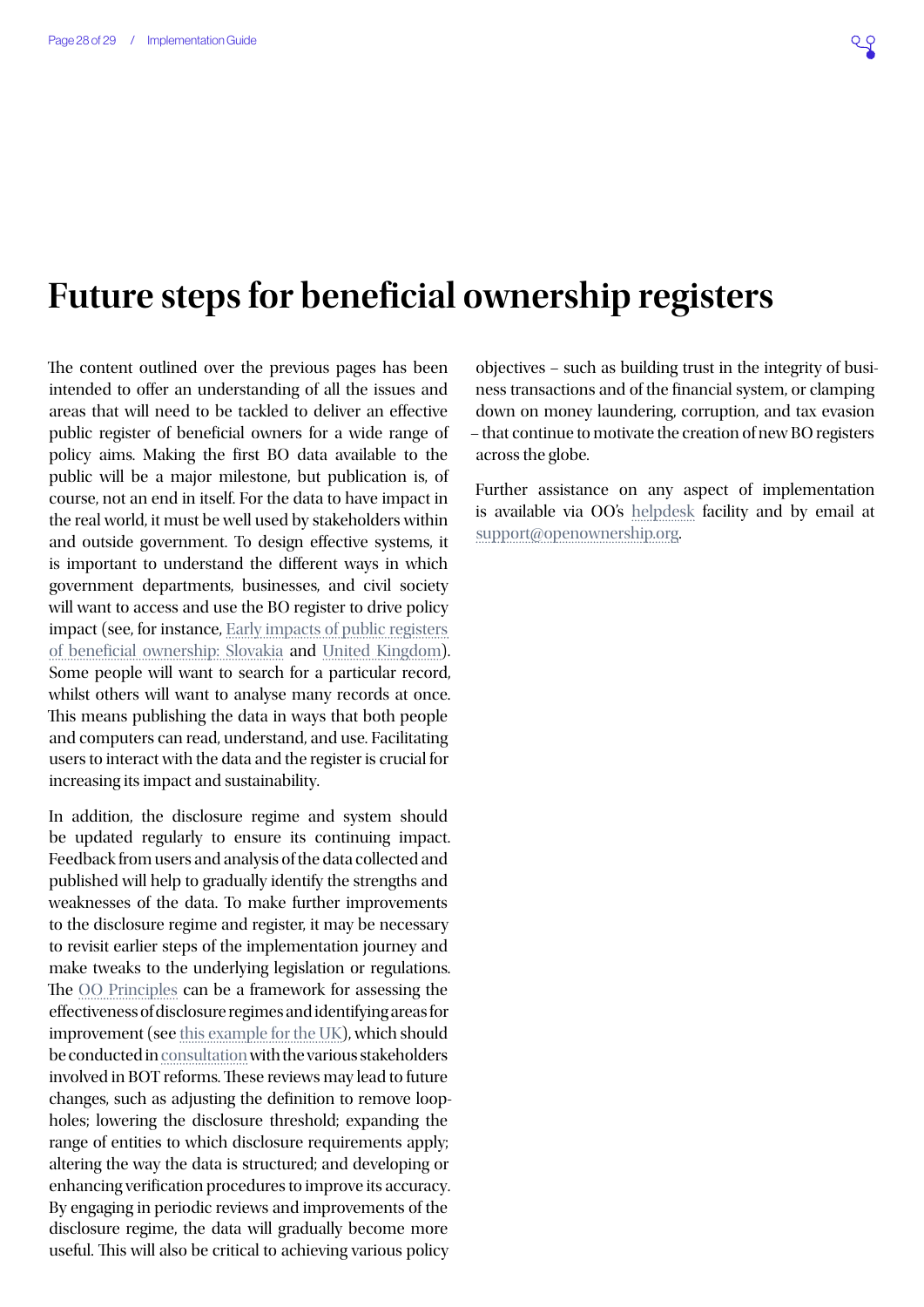## **Future steps for beneficial ownership registers**

The content outlined over the previous pages has been intended to offer an understanding of all the issues and areas that will need to be tackled to deliver an effective public register of beneficial owners for a wide range of policy aims. Making the first BO data available to the public will be a major milestone, but publication is, of course, not an end in itself. For the data to have impact in the real world, it must be well used by stakeholders within and outside government. To design effective systems, it is important to understand the different ways in which government departments, businesses, and civil society will want to access and use the BO register to drive policy impact (see, for instance, [Early impacts of public registers](https://www.openownership.org/uploads/slovakia-impact-story.pdf)  [of beneficial ownership: Slovakia](https://www.openownership.org/uploads/slovakia-impact-story.pdf) and [United Kingdom](https://www.openownership.org/uploads/OO Impact Story UK.pdf)). Some people will want to search for a particular record, whilst others will want to analyse many records at once. This means publishing the data in ways that both people and computers can read, understand, and use. Facilitating users to interact with the data and the register is crucial for increasing its impact and sustainability.

In addition, the disclosure regime and system should be updated regularly to ensure its continuing impact. Feedback from users and analysis of the data collected and published will help to gradually identify the strengths and weaknesses of the data. To make further improvements to the disclosure regime and register, it may be necessary to revisit earlier steps of the implementation journey and make tweaks to the underlying legislation or regulations. The [OO Principles](https://www.openownership.org/principles/) can be a framework for assessing the effectiveness of disclosure regimes and identifying areas for improvement (see [this example for the UK](https://www.openownership.org/uploads/Rapid assessment of UK performance against the OO Principles .pdf)), which should be conducted in [consultation](https://www.openownership.org/uploads/open-ownership-effective-consultation-processes-for-bot.pdf) with the various stakeholders involved in BOT reforms. These reviews may lead to future changes, such as adjusting the definition to remove loopholes; lowering the disclosure threshold; expanding the range of entities to which disclosure requirements apply; altering the way the data is structured; and developing or enhancing verification procedures to improve its accuracy. By engaging in periodic reviews and improvements of the disclosure regime, the data will gradually become more useful. This will also be critical to achieving various policy

objectives – such as building trust in the integrity of business transactions and of the financial system, or clamping down on money laundering, corruption, and tax evasion – that continue to motivate the creation of new BO registers across the globe.

Further assistance on any aspect of implementation is available via OO's [helpdesk](https://share.hsforms.com/1hD_mecn0TwyW15zYkesF5g3upv4) facility and by email at [support@openownership.org](mailto:support@openownership.org).